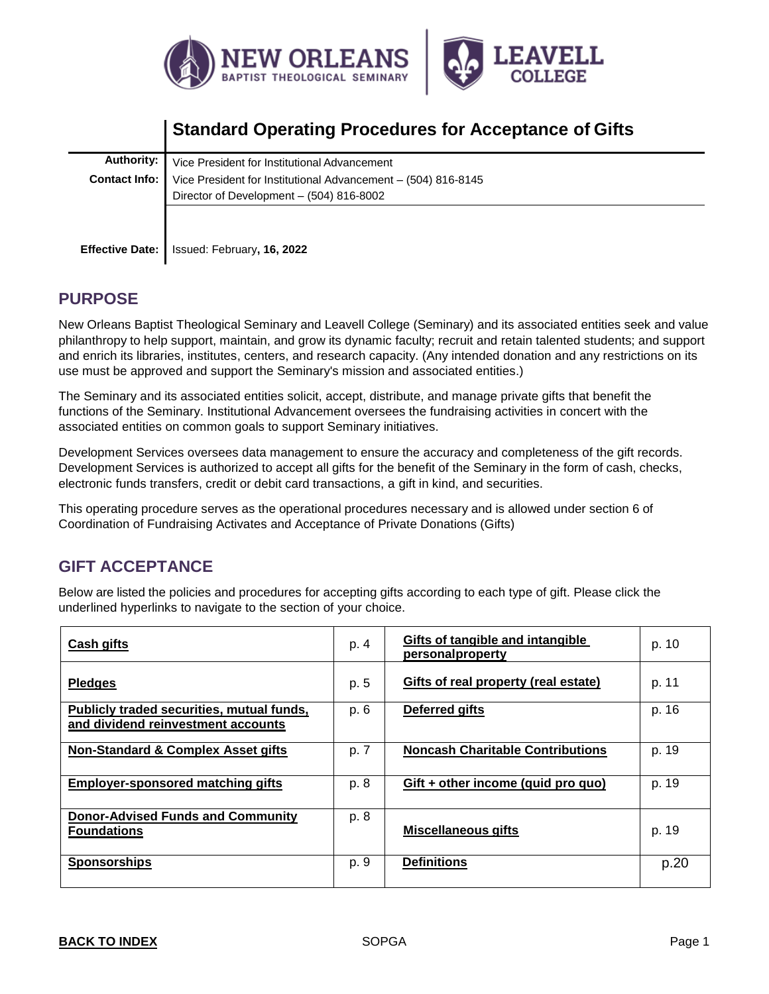



# **Standard Operating Procedures for Acceptance of Gifts**

| Authority:             | Vice President for Institutional Advancement                  |  |  |
|------------------------|---------------------------------------------------------------|--|--|
| Contact Info:          | Vice President for Institutional Advancement - (504) 816-8145 |  |  |
|                        | Director of Development - (504) 816-8002                      |  |  |
|                        |                                                               |  |  |
|                        |                                                               |  |  |
| <b>Effective Date:</b> | Issued: February, 16, 2022                                    |  |  |

# **PURPOSE**

New Orleans Baptist Theological Seminary and Leavell College (Seminary) and its associated entities seek and value philanthropy to help support, maintain, and grow its dynamic faculty; recruit and retain talented students; and support and enrich its libraries, institutes, centers, and research capacity. (Any intended donation and any restrictions on its use must be approved and support the Seminary's mission and associated entities.)

The Seminary and its associated entities solicit, accept, distribute, and manage private gifts that benefit the functions of the Seminary. Institutional Advancement oversees the fundraising activities in concert with the associated entities on common goals to support Seminary initiatives.

Development Services oversees data management to ensure the accuracy and completeness of the gift records. Development Services is authorized to accept all gifts for the benefit of the Seminary in the form of cash, checks, electronic funds transfers, credit or debit card transactions, a gift in kind, and securities.

This operating procedure serves as the operational procedures necessary and is allowed under section 6 of Coordination of Fundraising Activates and Acceptance of Private Donations (Gifts)

# <span id="page-0-0"></span>**GIFT ACCEPTANCE**

Below are listed the policies and procedures for accepting gifts according to each type of gift. Please click the underlined hyperlinks to navigate to the section of your choice.

| <b>Cash gifts</b>                                                               | p. 4 | Gifts of tangible and intangible<br><u>personalproperty</u> | p. 10 |
|---------------------------------------------------------------------------------|------|-------------------------------------------------------------|-------|
| <b>Pledges</b>                                                                  | p. 5 | Gifts of real property (real estate)                        | p. 11 |
| Publicly traded securities, mutual funds,<br>and dividend reinvestment accounts | p. 6 | Deferred gifts                                              | p. 16 |
| <b>Non-Standard &amp; Complex Asset gifts</b>                                   | p. 7 | <b>Noncash Charitable Contributions</b>                     | p. 19 |
| <b>Employer-sponsored matching gifts</b>                                        | p. 8 | $Gift + other income (quid pro quo)$                        | p. 19 |
| <b>Donor-Advised Funds and Community</b><br><b>Foundations</b>                  | p. 8 | <b>Miscellaneous gifts</b>                                  | p. 19 |
| <b>Sponsorships</b>                                                             | p. 9 | <b>Definitions</b>                                          | p.20  |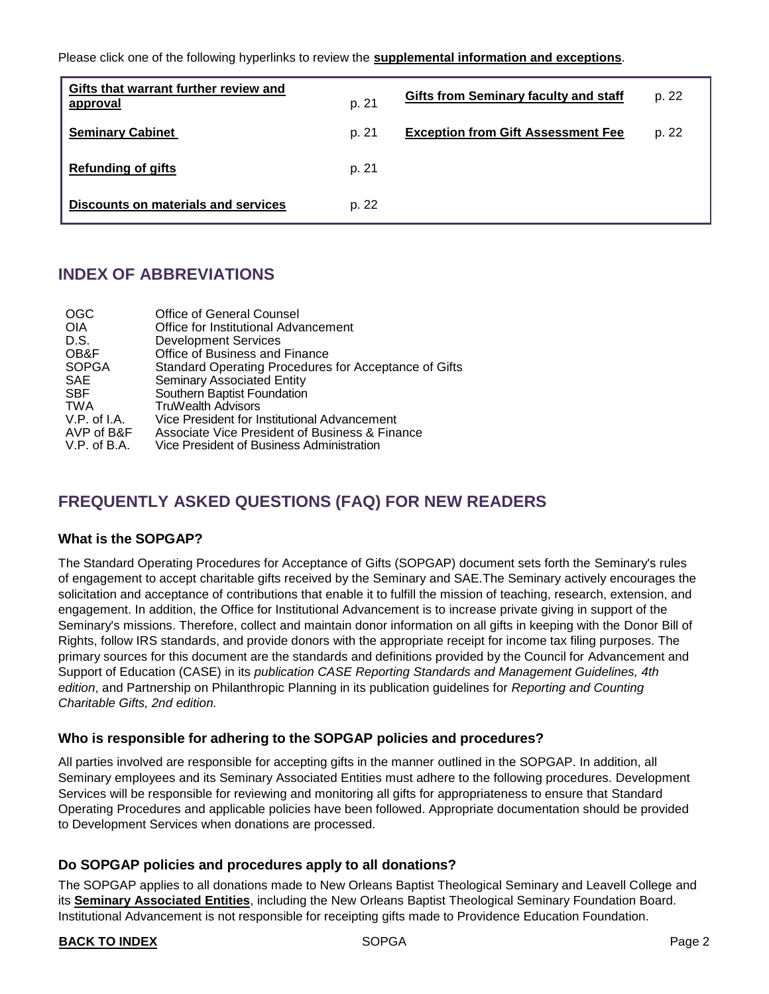Please click one of the following hyperlinks to review the **supplemental information [and exceptions](#page-18-2)**.

| Gifts that warrant further review and<br>approval | p. 21 | Gifts from Seminary faculty and staff     | p. 22 |
|---------------------------------------------------|-------|-------------------------------------------|-------|
| <b>Seminary Cabinet</b>                           | p. 21 | <b>Exception from Gift Assessment Fee</b> | p. 22 |
| <b>Refunding of gifts</b>                         | p. 21 |                                           |       |
| <b>Discounts on materials and services</b>        | p. 22 |                                           |       |

# **INDEX OF ABBREVIATIONS**

| <b>OGC</b>   | <b>Office of General Counsel</b>                      |
|--------------|-------------------------------------------------------|
| <b>OIA</b>   | Office for Institutional Advancement                  |
| D.S.         | <b>Development Services</b>                           |
| OB&F         | Office of Business and Finance                        |
| <b>SOPGA</b> | Standard Operating Procedures for Acceptance of Gifts |
| <b>SAE</b>   | <b>Seminary Associated Entity</b>                     |
| <b>SBF</b>   | Southern Baptist Foundation                           |
| <b>TWA</b>   | <b>TruWealth Advisors</b>                             |
| V.P. of I.A. | Vice President for Institutional Advancement          |
| AVP of B&F   | Associate Vice President of Business & Finance        |
| V.P. of B.A. | Vice President of Business Administration             |

# **FREQUENTLY ASKED QUESTIONS (FAQ) FOR NEW READERS**

# **What is the SOPGAP?**

The Standard Operating Procedures for Acceptance of Gifts (SOPGAP) document sets forth the Seminary's rules of engagement to accept charitable gifts received by the Seminary and SAE.The Seminary actively encourages the solicitation and acceptance of contributions that enable it to fulfill the mission of teaching, research, extension, and engagement. In addition, the Office for Institutional Advancement is to increase private giving in support of the Seminary's missions. Therefore, collect and maintain donor information on all gifts in keeping with the [Donor Bill of](https://www.case.org/resources/donor-bill-rights)  [Rights, f](https://www.case.org/resources/donor-bill-rights)ollow IRS standards, and provide donors with the appropriate receipt for income tax filing purposes. The primary sources for this document are the standards and definitions provided by the Council for Advancement and Support of Education (CASE) in its *publication CASE Reporting Standards and Management Guidelines, 4th edition*, and Partnership on Philanthropic Planning in its publication guidelines for *Reporting and Counting Charitable Gifts, 2nd edition.*

# **Who is responsible for adhering to the SOPGAP policies and procedures?**

All parties involved are responsible for accepting gifts in the manner outlined in the SOPGAP. In addition, all Seminary employees and its [Seminary Associated Entities](#page-21-0) must adhere to the following procedures. Development Services will be responsible for reviewing and monitoring all gifts for appropriateness to ensure that Standard Operating Procedures and applicable policies have been followed. Appropriate documentation should be provided to Development Services when donations are processed.

# **Do SOPGAP policies and procedures apply to all donations?**

The SOPGAP applies to all donations made to New Orleans Baptist Theological Seminary and Leavell College and its **Seminary Associated Entities**, including the New Orleans Baptist Theological Seminary Foundation Board. Institutional Advancement is not responsible for receipting gifts made to Providence Education Foundation.

#### **BACK TO [INDEX](#page-0-0)** Page 2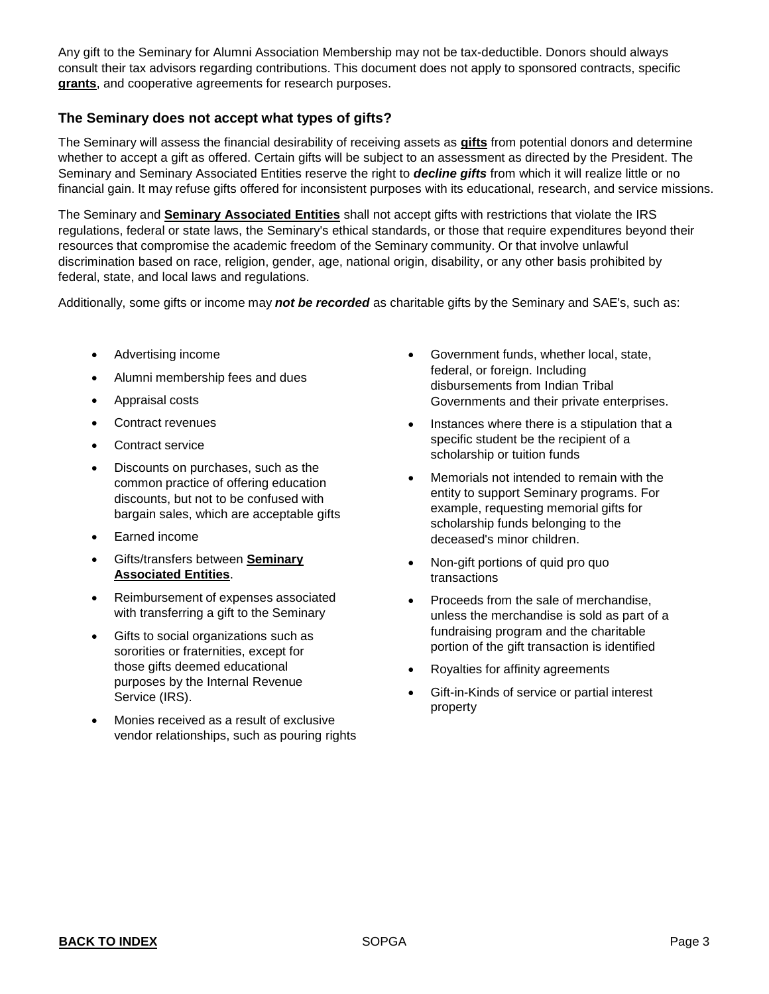Any gift to the Seminary for Alumni Association Membership may not be tax-deductible. Donors should always consult their tax advisors regarding contributions. This document does not apply to sponsored contracts, specific **[grants](#page-21-1)**, and cooperative agreements for research purposes.

# **The Seminary does not accept what types of gifts?**

The Seminary will assess the financial desirability of receiving assets as **[gifts](#page-21-2)** from potential donors and determine whether to accept a gift as offered. Certain gifts will be subject to an assessment as directed by the President. The Seminary and Seminary Associated Entities reserve the right to *decline gifts* from which it will realize little or no financial gain. It may refuse gifts offered for inconsistent purposes with its educational, research, and service missions.

The Seminary and **Seminary Associated Entities** shall not accept gifts with restrictions that violate the IRS regulations, federal or state laws, the Seminary's ethical standards, or those that require expenditures beyond their resources that compromise the academic freedom of the Seminary community. Or that involve unlawful discrimination based on race, religion, gender, age, national origin, disability, or any other basis prohibited by federal, state, and local laws and regulations.

Additionally, some gifts or income may *not be recorded* as charitable gifts by the Seminary and SAE's, such as:

- Advertising income
- Alumni membership fees and dues
- Appraisal costs
- Contract revenues
- Contract service
- Discounts on purchases, such as the common practice of offering education discounts, but not to be confused with bargain sales, which are acceptable gifts
- Earned income
- Gifts/transfers between **[Seminary](#page-21-0) [Associated](#page-21-0) Entities**.
- Reimbursement of expenses associated with transferring a gift to the Seminary
- Gifts to social organizations such as sororities or fraternities, except for those gifts deemed educational purposes by the Internal Revenue Service (IRS).
- Monies received as a result of exclusive vendor relationships, such as pouring rights
- Government funds, whether local, state, federal, or foreign. Including disbursements from Indian Tribal Governments and their private enterprises.
- Instances where there is a stipulation that a specific student be the recipient of a scholarship or tuition funds
- Memorials not intended to remain with the entity to support Seminary programs. For example, requesting memorial gifts for scholarship funds belonging to the deceased's minor children.
- Non-gift portions of quid pro quo transactions
- Proceeds from the sale of merchandise, unless the merchandise is sold as part of a fundraising program and the charitable portion of the gift transaction is identified
- Royalties for affinity agreements
- Gift-in-Kinds of service or partial interest property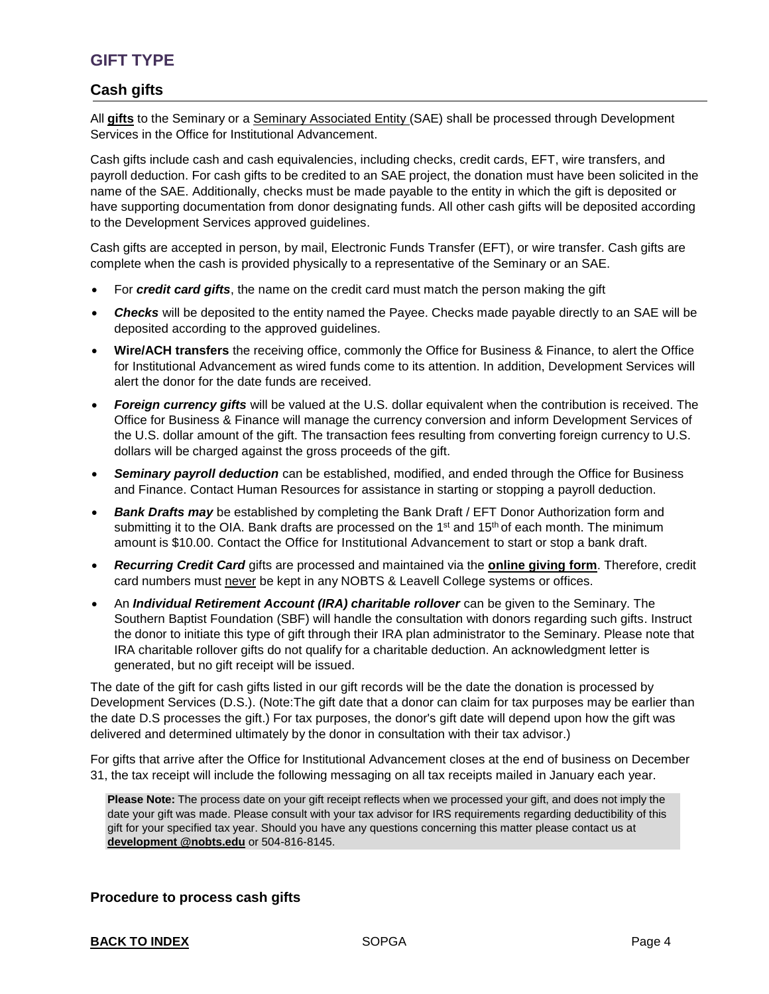# <span id="page-3-0"></span>**GIFT TYPE**

# **Cash gifts**

All **[gifts](#page-21-2)** to the Seminary or a [Seminary Associated Entity \(SAE\) s](#page-20-0)hall be processed through Development Services in the Office for Institutional Advancement.

Cash gifts include cash and cash equivalencies, including checks, credit cards, EFT, wire transfers, and payroll deduction. For cash gifts to be credited to an SAE project, the donation must have been solicited in the name of the SAE. Additionally, checks must be made payable to the entity in which the gift is deposited or have supporting documentation from donor designating funds. All other cash gifts will be deposited according to the Development Services approved guidelines.

Cash gifts are accepted in person, by mail, Electronic Funds Transfer (EFT), or wire transfer. Cash gifts are complete when the cash is provided physically to a representative of the Seminary or an SAE.

- For *credit card gifts*, the name on the credit card must match the person making the gift
- *Checks* will be deposited to the entity named the Payee. Checks made payable directly to an SAE will be deposited according to the approved guidelines.
- **Wire/ACH transfers** the receiving office, commonly the Office for Business & Finance, to alert the Office for Institutional Advancement as wired funds come to its attention. In addition, Development Services will alert the donor for the date funds are received.
- *Foreign currency gifts* will be valued at the U.S. dollar equivalent when the contribution is received. The Office for Business & Finance will manage the currency conversion and inform Development Services of the U.S. dollar amount of the gift. The transaction fees resulting from converting foreign currency to U.S. dollars will be charged against the gross proceeds of the gift.
- *Seminary payroll deduction* can be established, modified, and ended through the Office for Business and Finance. Contact Human Resources for assistance in starting or stopping a payroll deduction.
- **Bank Drafts may** be established by completing the Bank Draft / EFT Donor Authorization form and submitting it to the OIA. Bank drafts are processed on the  $1<sup>st</sup>$  and  $15<sup>th</sup>$  of each month. The minimum amount is \$10.00. Contact the Office for Institutional Advancement [t](https://go.ncsu.edu/grm)o start or stop a bank draft.
- *Recurring Credit Card* gifts are processed and maintained via the **[online giving form](https://nobts.edu/donate)**. Therefore, credit card numbers must never be kept in any NOBTS & Leavell College systems or offices.
- An *Individual Retirement Account (IRA) charitable rollover* can be given to the Seminary. The Southern Baptist Foundation (SBF) will handle the consultation with donors regarding such gifts. Instruct the donor to initiate this type of gift through their IRA plan administrator to the Seminary. Please note that IRA charitable rollover gifts do not qualify for a charitable deduction. An acknowledgment letter is generated, but no gift receipt will be issued.

The date of the gift for cash gifts listed in our gift records will be the date the donation is processed by Development Services (D.S.). (Note:The gift date that a donor can claim for tax purposes may be earlier than the date D.S processes the gift.) For tax purposes, the donor's gift date will depend upon how the gift was delivered and determined ultimately by the donor in consultation with their tax advisor.)

For gifts that arrive after [the Office for Institutional Advancement](https://go.ncsu.edu/grm) closes at the end of business on December 31, the tax receipt will include the following messaging on all tax receipts mailed in January each year.

**Please Note:** The process date on your gift receipt reflects when we processed your gift, and does not imply the date your gift was made. Please consult with your tax advisor for IRS requirements regarding deductibility of this gift for your specified tax year. Should you have any questions concerning this matter please contact us at **[development @nobts.edu](mailto:giftsandrecords@ncsu.edu)** or 504-816-8145.

#### **Procedure to process cash gifts**

#### **BACK TO [INDEX](#page-0-0)** SOPGA **Page 4**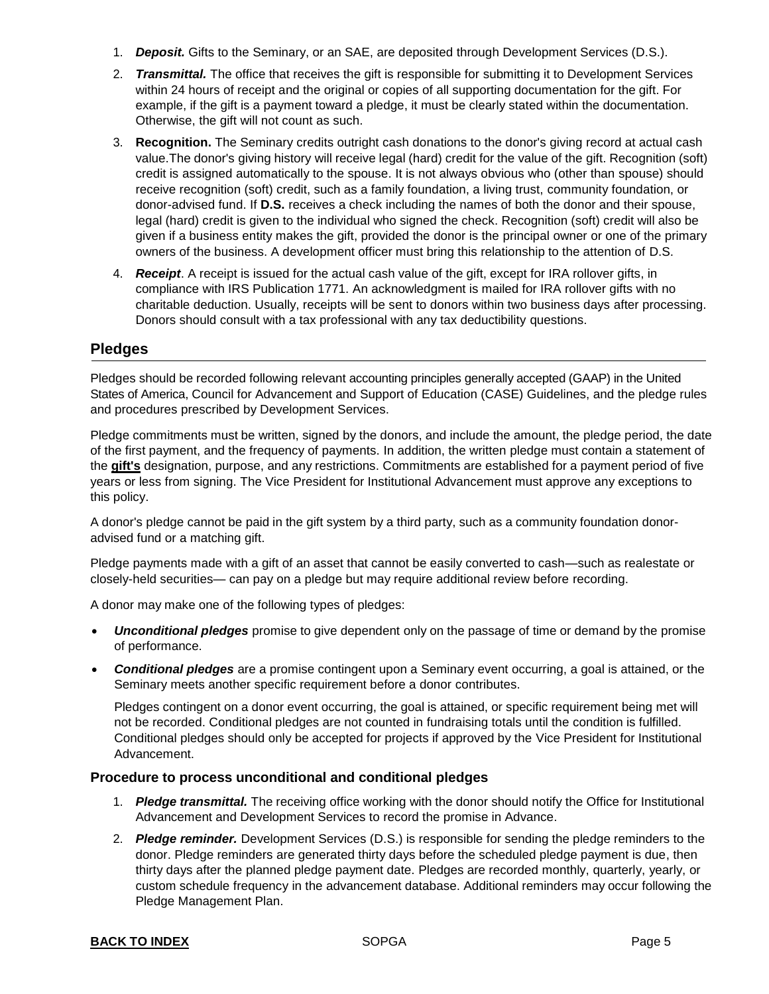- <span id="page-4-0"></span>1. *Deposit.* Gifts to the Seminary, or an SAE, are deposited through Development Services (D.S.).
- 2. *Transmittal.* The office that receives the gift is responsible for submitting it to Development Services within 24 hours of receipt and the original or copies of all supporting documentation for the gift. For example, if the gift is a payment toward a pledge, it must be clearly stated within the documentation. Otherwise, the gift will not count as such.
- 3. **Recognition.** The Seminary credits outright cash donations to the donor's giving record at actual cash value.The donor's giving history will receive legal (hard) credit for the value of the gift. Recognition (soft) credit is assigned automatically to the spouse. It is not always obvious who (other than spouse) should receive recognition (soft) credit, such as a family foundation, a living trust, community foundation, or donor-advised fund. If **D.S.** receives a check including the names of both the donor and their spouse, legal (hard) credit is given to the individual who signed the check. Recognition (soft) credit will also be given if a business entity makes the gift, provided the donor is the principal owner or one of the primary owners of the business. A development officer must bring this relationship to the attention of D.S.
- 4. *Receipt*. A receipt is issued for the actual cash value of the gift, except for IRA rollover gifts, in compliance with IRS Publication 1771. An acknowledgment is mailed for IRA rollover gifts with no charitable deduction. Usually, receipts will be sent to donors within two business days after processing. Donors should consult with a tax professional with any tax deductibility questions.

# **Pledges**

Pledges should be recorded following relevant accounting principles generally accepted (GAAP) in the United States of America, Council for Advancement and Support of Education (CASE) Guidelines, and the pledge rules and procedures prescribed by Development Services.

Pledge commitments must be written, signed by the donors, and include the amount, the pledge period, the date of the first payment, and the frequency of payments. In addition, the written pledge must contain a statement of the **[gift's](#page-21-2)** designation, purpose, and any restrictions. Commitments are established for a payment period of five years or less from signing. The Vice President for Institutional Advancement must approve any exceptions to this policy.

A donor's pledge cannot be paid in the gift system by a third party, such as a community foundation donoradvised fund or a matching gift.

Pledge payments made with a gift of an asset that cannot be easily converted to cash—such as realestate or closely-held securities— can pay on a pledge but may require additional review before recording.

A donor may make one of the following types of pledges:

- *Unconditional pledges* promise to give dependent only on the passage of time or demand by the promise of performance.
- *Conditional pledges* are a promise contingent upon a Seminary event occurring, a goal is attained, or the Seminary meets another specific requirement before a donor contributes.

Pledges contingent on a donor event occurring, the goal is attained, or specific requirement being met will not be recorded. Conditional pledges are not counted in fundraising totals until the condition is fulfilled. Conditional pledges should only be accepted for projects if approved by the Vice President for Institutional Advancement.

#### **Procedure to process unconditional and conditional pledges**

- 1. *Pledge transmittal.* The receiving office working with the donor should notify the Office for Institutional Advancement and Development Services to record the promise in Advance.
- 2. *Pledge reminder.* Development Services (D.S.) is responsible for sending the pledge reminders to the donor. Pledge reminders are generated thirty days before the scheduled pledge payment is due, then thirty days after the planned pledge payment date. Pledges are recorded monthly, quarterly, yearly, or custom schedule frequency in the advancement database. Additional reminders may occur following the Pledge Management Plan.

#### **BACK TO [INDEX](#page-0-0) SOPGA Page 5**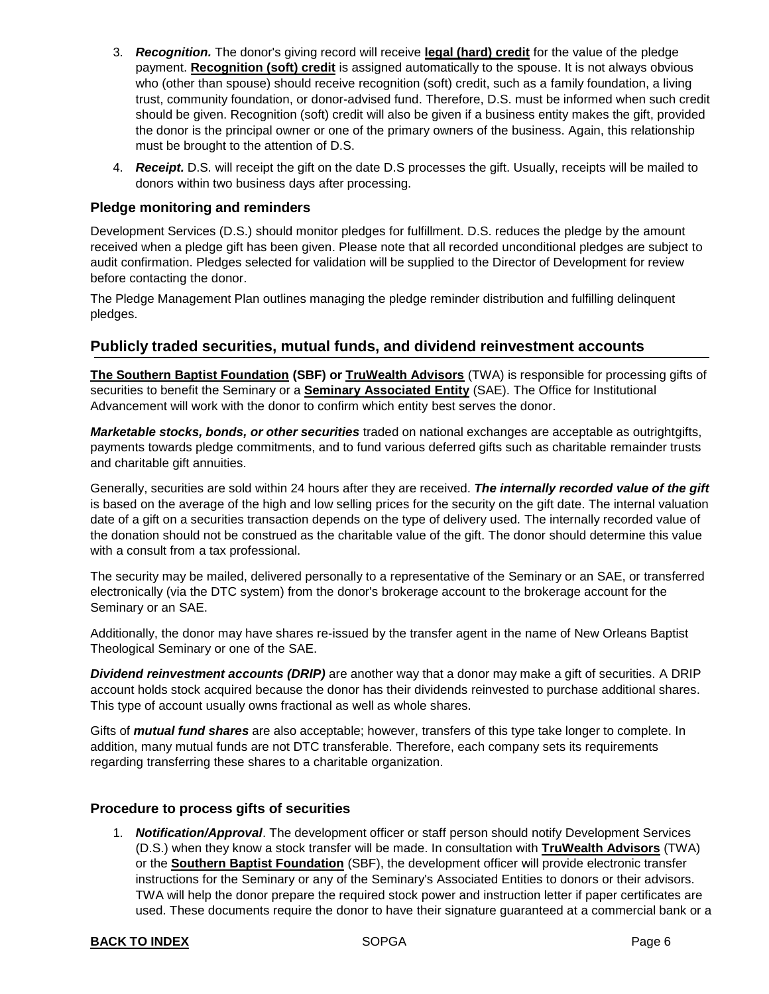- <span id="page-5-0"></span>3. *Recognition.* The donor's giving record will receive **[legal \(hard\) credit](#page-21-3)** for the value of the pledge payment. **[Recognition \(soft\) credit](#page-21-4)** is assigned automatically to the spouse. It is not always obvious who (other than spouse) should receive recognition (soft) credit, such as a family foundation, a living trust, community foundation, or donor-advised fund. Therefore, D.S. must be informed when such credit should be given. Recognition (soft) credit will also be given if a business entity makes the gift, provided the donor is the principal owner or one of the primary owners of the business. Again, this relationship must be brought to the attention of D.S.
- 4. *Receipt.* D.S. will receipt the gift on the date D.S processes the gift. Usually, receipts will be mailed to donors within two business days after processing.

#### **Pledge monitoring and reminders**

Development Services (D.S.) should monitor pledges for fulfillment. D.S. reduces the pledge by the amount received when a pledge gift has been given. Please note that all recorded unconditional pledges are subject to audit confirmation. Pledges selected for validation will be supplied to the Director of Development for review before contacting the donor.

The Pledge Management Plan outlines managing the pledge reminder distribution and fulfilling delinquent pledges.

# <span id="page-5-1"></span>**Publicly traded securities, mutual funds, and dividend reinvestment accounts**

**[The Southern Baptist Foundation](https://www.sbfdn.org/) (SBF) or [TruWealth Advisors](https://www.twadvisor.com/)** (TWA) is responsible for processing gifts of securities to benefit the Seminary or a **[Seminary Associated Entity](#page-21-0)** (SAE). The Office for Institutional Advancement will work with the donor to confirm which entity best serves the donor.

*Marketable stocks, bonds, or other securities* traded on national exchanges are acceptable as outrightgifts, payments towards pledge commitments, and to fund various deferred gifts such as charitable remainder trusts and charitable gift annuities.

Generally, securities are sold within 24 hours after they are received. *The internally recorded value of the gift*  is based on the average of the high and low selling prices for the security on the gift date. The internal valuation date of a gift on a securities transaction depends on the type of delivery used. The internally recorded value of the donation should not be construed as the charitable value of the gift. The donor should determine this value with a consult from a tax professional.

The security may be mailed, delivered personally to a representative of the Seminary or an SAE, or transferred electronically (via the DTC system) from the donor's brokerage account to the brokerage account for the Seminary or an SAE.

Additionally, the donor may have shares re-issued by the transfer agent in the name of New Orleans Baptist Theological Seminary or one of the SAE.

*Dividend reinvestment accounts (DRIP)* are another way that a donor may make a gift of securities. A DRIP account holds stock acquired because the donor has their dividends reinvested to purchase additional shares. This type of account usually owns fractional as well as whole shares.

Gifts of *mutual fund shares* are also acceptable; however, transfers of this type take longer to complete. In addition, many mutual funds are not DTC transferable. Therefore, each company sets its requirements regarding transferring these shares to a charitable organization.

#### **Procedure to process gifts of securities**

1. *Notification/Approval*. The development officer or staff person should notify Development Services (D.S.) when they know a stock transfer will be made. In consultation with **[TruWealth Advisors](https://www.twadvisor.com/)** (TWA) or the **[Southern Baptist Foundation](https://www.sbfdn.org/)** (SBF), the development officer will provide electronic transfer instructions for the Seminary or any of the Seminary's Associated Entities to donors or their advisors. TWA will help the donor prepare the required stock power and instruction letter if paper certificates are used. These documents require the donor to have their signature guaranteed at a commercial bank or a

#### **BACK TO [INDEX](#page-0-0) SOPGA Page 6 Page 6 Page 6**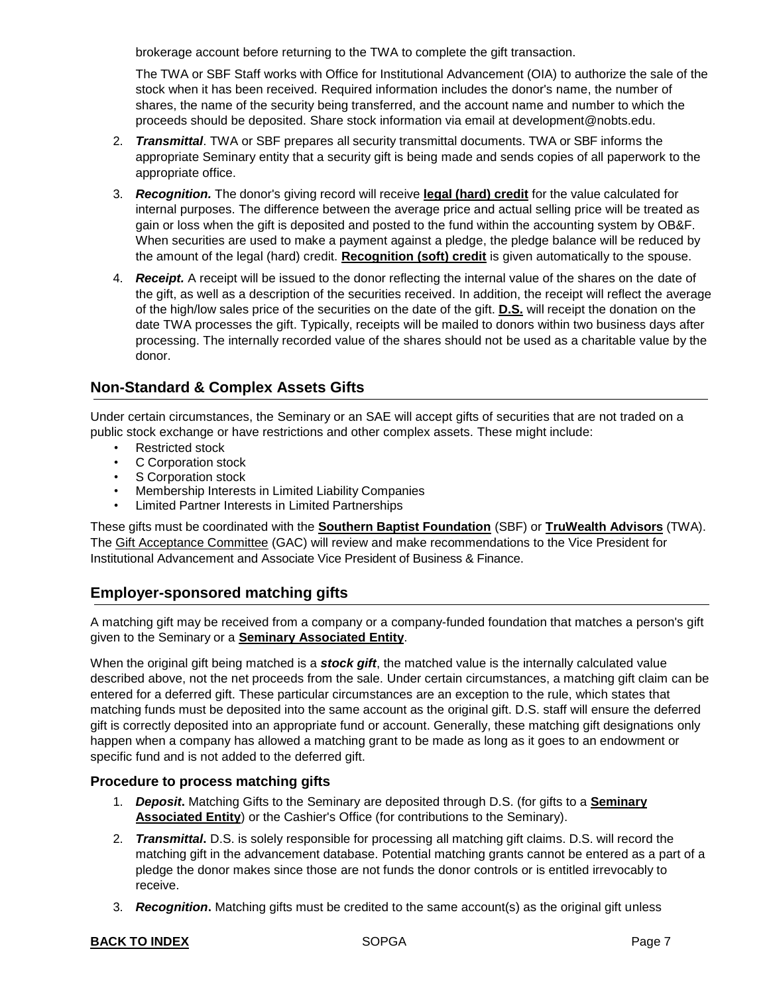brokerage account before returning to the TWA to complete the gift transaction.

The TWA or SBF Staff works with Office for Institutional Advancement (OIA) to authorize the sale of the stock when it has been received. Required information includes the donor's name, the number of shares, the name of the security being transferred, and the account name and number to which the proceeds should be deposited. Share stock information via email at development@nobts.edu.

- 2. *Transmittal*. TWA or SBF prepares all security transmittal documents. TWA or SBF informs the appropriate Seminary entity that a security gift is being made and sends copies of all paperwork to the appropriate office.
- 3. *Recognition.* The donor's giving record will receive **legal [\(hard\)](#page-21-3) credit** for the value calculated for internal purposes. The difference between the average price and actual selling price will be treated as gain or loss when the gift is deposited and posted to the fund within the accounting system by OB&F. When securities are used to make a payment against a pledge, the pledge balance will be reduced by the amount of the legal (hard) credit. **[Recognition \(soft\) credit](#page-21-4)** is given automatically to the spouse.
- 4. *Receipt.* A receipt will be issued to the donor reflecting the internal value of the shares on the date of the gift, as well as a description of the securities received. In addition, the receipt will reflect the average of the high/low sales price of the securities on the date of the gift. **D.S.** will receipt the donation on the date TWA processes the gift. Typically, receipts will be mailed to donors within two business days after processing. The internally recorded value of the shares should not be used as a charitable value by the donor.

# <span id="page-6-2"></span><span id="page-6-0"></span>**Non-Standard & [Complex Assets](#page-6-2) Gifts**

Under certain circumstances, the Seminary or an SAE will accept gifts of securities that are not traded on a public stock exchange or have restrictions and other complex assets. These might include:

- Restricted stock
- C Corporation stock
- S Corporation stock
- Membership Interests in Limited Liability Companies
- Limited Partner Interests in Limited Partnerships

These gifts must be coordinated with the **[Southern Baptist Foundation](https://www.sbfdn.org/)** (SBF) or **[TruWealth Advisors](https://www.twadvisor.com/)** (TWA). The [Gift Acceptance Committee](#page-19-1) (GAC) will review and make recommendations to the Vice President for Institutional Advancement and Associate Vice President of Business & Finance.

# <span id="page-6-1"></span>**Employer-sponsored matching gifts**

A matching gift may be received from a company or a company-funded foundation that matches a person's gift given to the Seminary or a **[Seminary Associated Entity](#page-21-0)**.

When the original gift being matched is a *stock gift*, the matched value is the internally calculated value described above, not the net proceeds from the sale. Under certain circumstances, a matching gift claim can be entered for a deferred gift. These particular circumstances are an exception to the rule, which states that matching funds must be deposited into the same account as the original gift. D.S. staff will ensure the deferred gift is correctly deposited into an appropriate fund or account. Generally, these matching gift designations only happen when a company has allowed a matching grant to be made as long as it goes to an endowment or specific fund and is not added to the deferred gift.

# **Procedure to process matching gifts**

- 1. *Deposit***.** Matching Gifts to the Seminary are deposited through D.S. (for gifts to a **[Seminary](#page-21-0) [Associated](#page-21-0) Entity**) or the Cashier's Office (for contributions to the Seminary).
- 2. *Transmittal***.** D.S. is solely responsible for processing all matching gift claims. D.S. will record the matching gift in the advancement database. Potential matching grants cannot be entered as a part of a pledge the donor makes since those are not funds the donor controls or is entitled irrevocably to receive.
- 3. *Recognition***.** Matching gifts must be credited to the same account(s) as the original gift unless

#### **BACK TO [INDEX](#page-0-0) EXECUTE:** SOPGA **Page 7**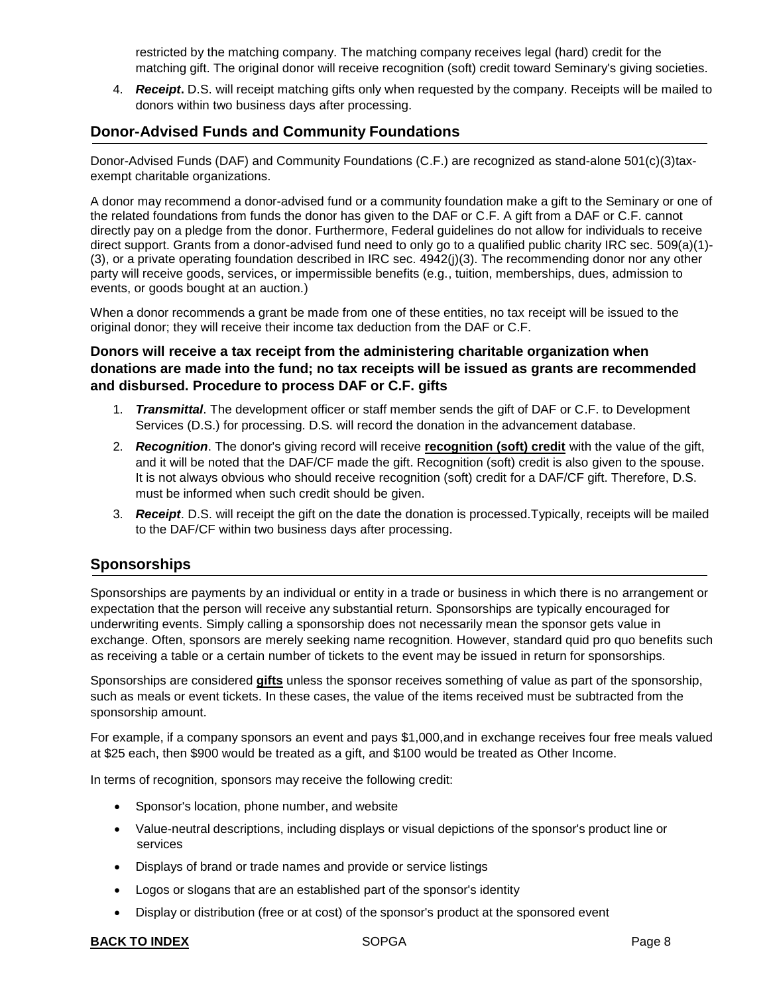restricted by the matching company. The matching company receives legal (hard) credit for the matching gift. The original donor will receive recognition (soft) credit toward Seminary's giving societies.

<span id="page-7-0"></span>4. *Receipt***.** D.S. will receipt matching gifts only when requested by the company. Receipts will be mailed to donors within two business days after processing.

# <span id="page-7-1"></span>**Donor-Advised Funds and Community Foundations**

Donor-Advised Funds (DAF) and Community Foundations (C.F.) are recognized as stand-alone 501(c)(3)taxexempt charitable organizations.

A donor may recommend a donor-advised fund or a community foundation make a gift to the Seminary or one of the related foundations from funds the donor has given to the DAF or C.F. A gift from a DAF or C.F. cannot directly pay on a pledge from the donor. Furthermore, Federal guidelines do not allow for individuals to receive direct support. Grants from a donor-advised fund need to only go to a qualified public charity IRC sec. 509(a)(1)- (3), or a private operating foundation described in IRC sec. 4942(j)(3). The recommending donor nor any other party will receive goods, services, or impermissible benefits (e.g., tuition, memberships, dues, admission to events, or goods bought at an auction.)

When a donor recommends a grant be made from one of these entities, no tax receipt will be issued to the original donor; they will receive their income tax deduction from the DAF or C.F.

# **Donors will receive a tax receipt from the administering charitable organization when donations are made into the fund; no tax receipts will be issued as grants are recommended and disbursed. Procedure to process DAF or C.F. gifts**

- 1. *Transmittal*. The development officer or staff member sends the gift of DAF or C.F. to Development Services (D.S.) for processing. D.S. will record the donation in the advancement database.
- 2. *Recognition*. The donor's giving record will receive **[recognition \(soft\) credit](#page-21-4)** with the value of the gift, and it will be noted that the DAF/CF made the gift. Recognition (soft) credit is also given to the spouse. It is not always obvious who should receive recognition (soft) credit for a DAF/CF gift. Therefore, D.S. must be informed when such credit should be given.
- 3. *Receipt*. D.S. will receipt the gift on the date the donation is processed.Typically, receipts will be mailed to the DAF/CF within two business days after processing.

# <span id="page-7-2"></span>**Sponsorships**

Sponsorships are payments by an individual or entity in a trade or business in which there is no arrangement or expectation that the person will receive any substantial return. Sponsorships are typically encouraged for underwriting events. Simply calling a sponsorship does not necessarily mean the sponsor gets value in exchange. Often, sponsors are merely seeking name recognition. However, standard quid pro quo benefits such as receiving a table or a certain number of tickets to the event may be issued in return for sponsorships.

Sponsorships are considered **[gifts](#page-21-2)** unless the sponsor receives something of value as part of the sponsorship, such as meals or event tickets. In these cases, the value of the items received must be subtracted from the sponsorship amount.

For example, if a company sponsors an event and pays \$1,000,and in exchange receives four free meals valued at \$25 each, then \$900 would be treated as a gift, and \$100 would be treated as Other Income.

In terms of recognition, sponsors may receive the following credit:

- Sponsor's location, phone number, and website
- Value-neutral descriptions, including displays or visual depictions of the sponsor's product line or services
- Displays of brand or trade names and provide or service listings
- Logos or slogans that are an established part of the sponsor's identity
- Display or distribution (free or at cost) of the sponsor's product at the sponsored event

#### **BACK TO [INDEX](#page-0-0) SOPGA Page 8**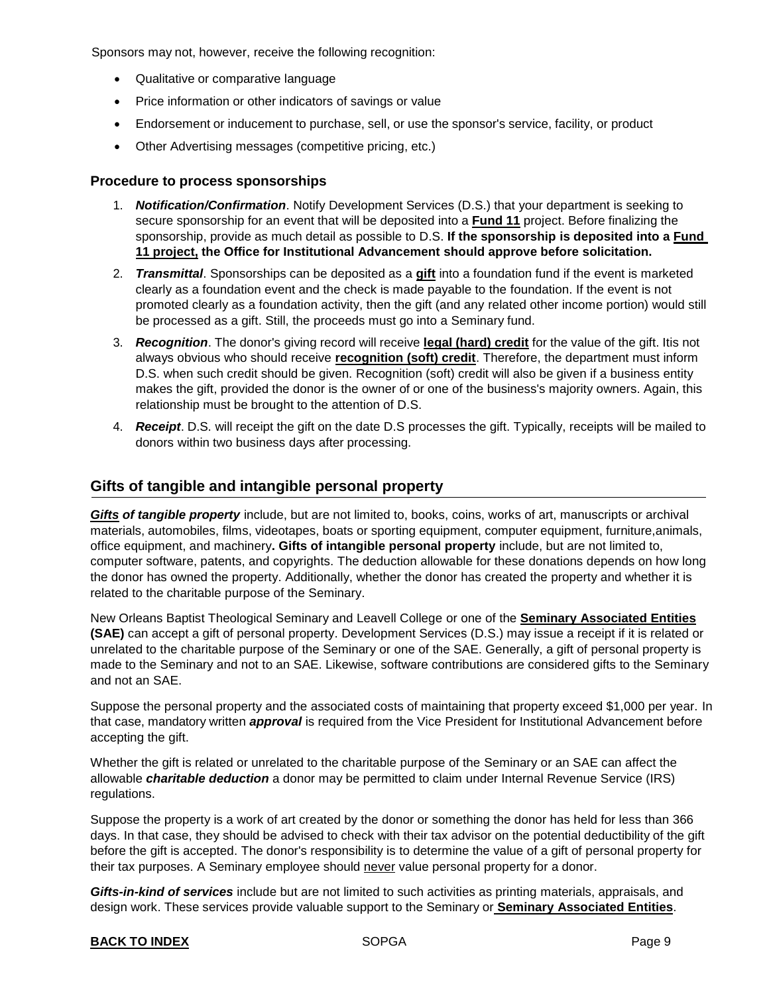<span id="page-8-0"></span>Sponsors may not, however, receive the following recognition:

- Qualitative or comparative language
- Price information or other indicators of savings or value
- Endorsement or inducement to purchase, sell, or use the sponsor's service, facility, or product
- Other Advertising messages (competitive pricing, etc.)

#### **Procedure to process sponsorships**

- 1. *Notification/Confirmation*. Notify Development Services (D.S.) that your department is seeking to secure sponsorship for an event that will be deposited into a **[Fund 11](#page-21-5)** project. Before finalizing the sponsorship, provide as much detail as possible to D.S. **If the sponsorship is deposited into a Fund 11 project, the Office for Institutional Advancement should approve before solicitation.**
- 2. *Transmittal*. Sponsorships can be deposited as a **[gift](#page-21-2)** into a foundation fund if the event is marketed clearly as a foundation event and the check is made payable to the foundation. If the event is not promoted clearly as a foundation activity, then the gift (and any related other income portion) would still be processed as a gift. Still, the proceeds must go into a Seminary fund.
- 3. *Recognition*. The donor's giving record will receive **legal [\(hard\)](#page-21-3) credit** for the value of the gift. Itis not always obvious who should receive **[recognition \(soft\) credit](#page-21-4)**. Therefore, the department must inform D.S. when such credit should be given. Recognition (soft) credit will also be given if a business entity makes the gift, provided the donor is the owner of or one of the business's majority owners. Again, this relationship must be brought to the attention of D.S.
- 4. *Receipt*. D.S. will receipt the gift on the date D.S processes the gift. Typically, receipts will be mailed to donors within two business days after processing.

### <span id="page-8-1"></span>**Gifts of tangible and intangible personal property**

*[Gifts](#page-21-2) of tangible property* include, but are not limited to, books, coins, works of art, manuscripts or archival materials, automobiles, films, videotapes, boats or sporting equipment, computer equipment, furniture,animals, office equipment, and machinery**. Gifts of intangible personal property** include, but are not limited to, computer software, patents, and copyrights. The deduction allowable for these donations depends on how long the donor has owned the property. Additionally, whether the donor has created the property and whether it is related to the charitable purpose of the Seminary.

New Orleans Baptist Theological Seminary and Leavell College or one of the **Seminary [Associated Entities](#page-20-0) (SAE)** can accept a gift of personal property. Development Services (D.S.) may issue a receipt if it is related or unrelated to the charitable purpose of the Seminary or one of the SAE. Generally, a gift of personal property is made to the Seminary and not to an SAE. Likewise, software contributions are considered gifts to the Seminary and not an SAE.

Suppose the personal property and the associated costs of maintaining that property exceed \$1,000 per year. In that case, mandatory written *approval* is required from the Vice President for Institutional Advancement before accepting the gift.

Whether the gift is related or unrelated to the charitable purpose of the Seminary or an SAE can affect the allowable *charitable deduction* a donor may be permitted to claim under Internal Revenue Service (IRS) regulations.

Suppose the property is a work of art created by the donor or something the donor has held for less than 366 days. In that case, they should be advised to check with their tax advisor on the potential deductibility of the gift before the gift is accepted. The donor's responsibility is to determine the value of a gift of personal property for their tax purposes. A Seminary employee should never value personal property for a donor.

*Gifts-in-kind of services* include but are not limited to such activities as printing materials, appraisals, and design work. These services provide valuable support to the Seminary or **Seminary [Associated Entities](#page-21-0)**.

#### **BACK TO [INDEX](#page-0-0) SOPGA Page 9 Page 9**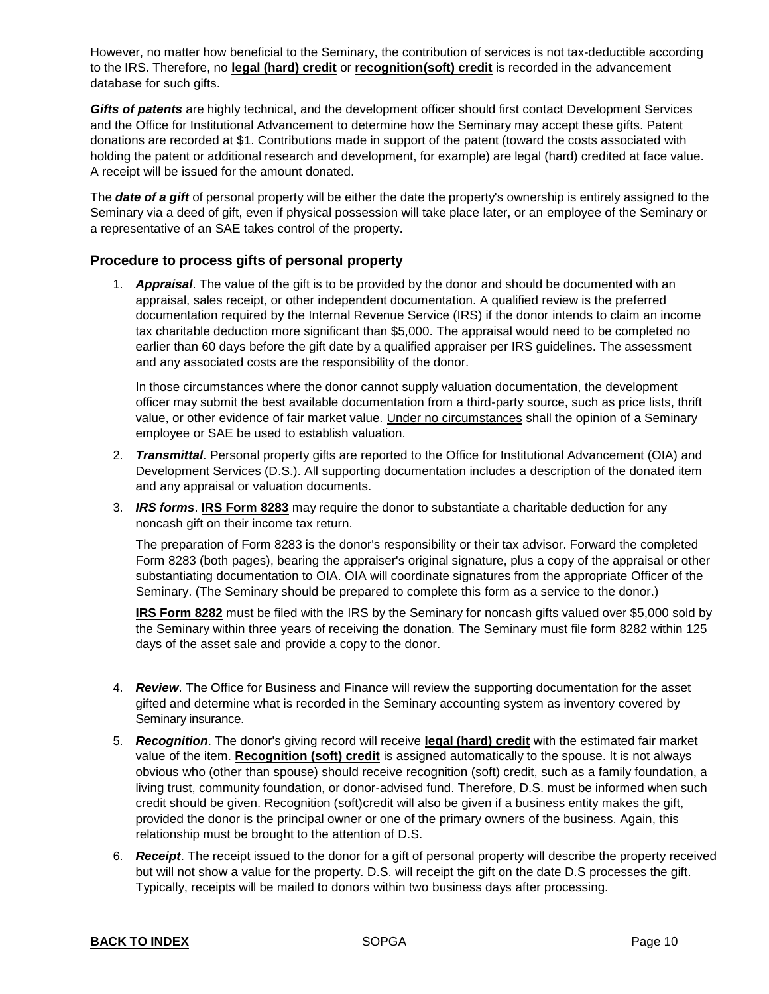However, no matter how beneficial to the Seminary, the contribution of services is not tax-deductible according to the IRS. Therefore, no **legal [\(hard\)](#page-21-3) credit** or **[recognition\(soft\)](#page-21-4) credit** is recorded in the advancement database for such gifts.

*Gifts of patents* are highly technical, and the development officer should first contact Development Services and the Office for Institutional Advancement to determine how the Seminary may accept these gifts. Patent donations are recorded at \$1. Contributions made in support of the patent (toward the costs associated with holding the patent or additional research and development, for example) are legal (hard) credited at face value. A receipt will be issued for the amount donated.

The *date of a gift* of personal property will be either the date the property's ownership is entirely assigned to the Seminary via a deed of gift, even if physical possession will take place later, or an employee of the Seminary or a representative of an SAE takes control of the property.

#### **Procedure to process gifts of personal property**

1. *Appraisal*. The value of the gift is to be provided by the donor and should be documented with an appraisal, sales receipt, or other independent documentation. A qualified review is the preferred documentation required by the Internal Revenue Service (IRS) if the donor intends to claim an income tax charitable deduction more significant than \$5,000. The appraisal would need to be completed no earlier than 60 days before the gift date by a qualified appraiser per IRS guidelines. The assessment and any associated costs are the responsibility of the donor.

In those circumstances where the donor cannot supply valuation documentation, the development officer may submit the best available documentation from a third-party source, such as price lists, thrift value, or other evidence of fair market value. Under no circumstances shall the opinion of a Seminary employee or SAE be used to establish valuation.

- 2. *Transmittal*. Personal property gifts are reported to the Office for Institutional Advancement (OIA) and Development Services (D.S.). All supporting documentation includes a description of the donated item and any appraisal or valuation documents.
- 3. *IRS forms*. **IRS [Form](https://www.irs.gov/forms-pubs/about-form-8283) 8283** may require the donor to substantiate a charitable deduction for any noncash gift on their income tax return.

The preparation of Form 8283 is the donor's responsibility or their tax advisor. Forward the completed Form 8283 (both pages), bearing the appraiser's original signature, plus a copy of the appraisal or other substantiating documentation to OIA. OIA will coordinate signatures from the appropriate Officer of the Seminary. (The Seminary should be prepared to complete this form as a service to the donor.)

**[IRS Form 8282](https://www.irs.gov/pub/irs-pdf/f8282.pdf)** must be filed with the IRS by the Seminary for noncash gifts valued over \$5,000 sold by the Seminary within three years of receiving the donation. The Seminary must file form 8282 within 125 days of the asset sale and provide a copy to the donor.

- 4. *Review*. The Office for Business and Finance will review the supporting documentation for the asset gifted and determine what is recorded in the Seminary accounting system as inventory covered by Seminary insurance.
- 5. *Recognition*. The donor's giving record will receive **[legal \(hard\) credit](#page-21-3)** with the estimated fair market value of the item. **[Recognition](#page-21-4) (soft) credit** is assigned automatically to the spouse. It is not always obvious who (other than spouse) should receive recognition (soft) credit, such as a family foundation, a living trust, community foundation, or donor-advised fund. Therefore, D.S. must be informed when such credit should be given. Recognition (soft)credit will also be given if a business entity makes the gift, provided the donor is the principal owner or one of the primary owners of the business. Again, this relationship must be brought to the attention of D.S.
- 6. *Receipt*. The receipt issued to the donor for a gift of personal property will describe the property received but will not show a value for the property. D.S. will receipt the gift on the date D.S processes the gift. Typically, receipts will be mailed to donors within two business days after processing.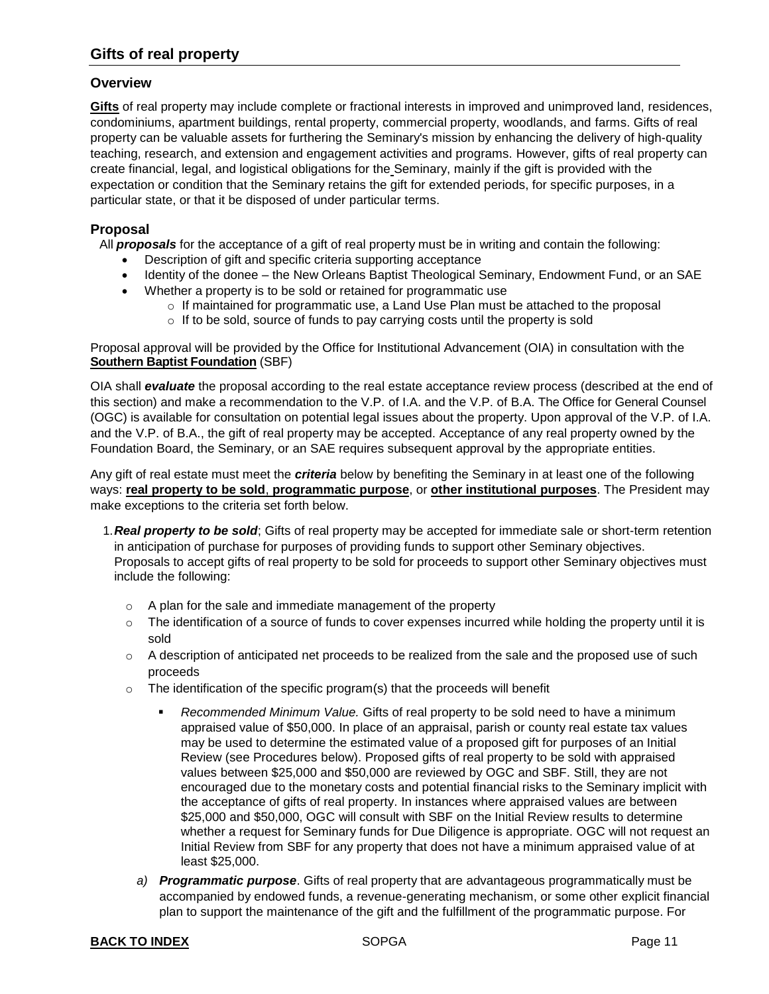# <span id="page-10-0"></span>**Gifts of real property**

#### **Overview**

**[Gifts](#page-20-0)** of real property may include complete or fractional interests in improved and unimproved land, residences, condominiums, apartment buildings, rental property, commercial property, woodlands, and farms. Gifts of real property can be valuable assets for furthering the Seminary's mission by enhancing the delivery of high-quality teaching, research, and extension and engagement activities and programs. However, gifts of real property can create financial, legal, and logistical obligations for the Seminary, mainly if the gift is provided with the expectation or condition that the Seminary retains the gift for extended periods, for specific purposes, in a particular state, or that it be disposed of under particular terms.

#### **Proposal**

All *proposals* for the acceptance of a gift of real property must be in writing and contain the following:

- Description of gift and specific criteria supporting acceptance
- Identity of the donee the New Orleans Baptist Theological Seminary, Endowment Fund, or an SAE
- Whether a property is to be sold or retained for programmatic use
	- $\circ$  If maintained for programmatic use, a Land Use Plan must be attached to the proposal
		- $\circ$  If to be sold, source of funds to pay carrying costs until the property is sold

Proposal approval will be provided by the Office for Institutional Advancement (OIA) in consultation with the **[Southern Baptist Foundation](https://www.sbfdn.org/)** (SBF)

OIA shall *evaluate* the proposal according to the real estate acceptance review process (described at the end of this section) and make a recommendation to the V.P. of I.A. and the V.P. of B.A. The Office for General Counsel (OGC) is available for consultation on potential legal issues about the property. Upon approval of the V.P. of I.A. and the V.P. of B.A., the gift of real property may be accepted. Acceptance of any real property owned by the Foundation Board, the Seminary, or an SAE requires subsequent approval by the appropriate entities.

Any gift of real estate must meet the *criteria* below by benefiting the Seminary in at least one of the following ways: **real property to be sold**, **programmatic purpose**, or **other institutional purposes**. The President may make exceptions to the criteria set forth below.

- 1.*Real property to be sold*; Gifts of real property may be accepted for immediate sale or short-term retention in anticipation of purchase for purposes of providing funds to support other Seminary objectives. Proposals to accept gifts of real property to be sold for proceeds to support other Seminary objectives must include the following:
	- o A plan for the sale and immediate management of the property
	- $\circ$  The identification of a source of funds to cover expenses incurred while holding the property until it is sold
	- $\circ$  A description of anticipated net proceeds to be realized from the sale and the proposed use of such proceeds
	- $\circ$  The identification of the specific program(s) that the proceeds will benefit
		- *Recommended Minimum Value.* Gifts of real property to be sold need to have a minimum appraised value of \$50,000. In place of an appraisal, parish or county real estate tax values may be used to determine the estimated value of a proposed gift for purposes of an Initial Review (see Procedures below). Proposed gifts of real property to be sold with appraised values between \$25,000 and \$50,000 are reviewed by OGC and SBF. Still, they are not encouraged due to the monetary costs and potential financial risks to the Seminary implicit with the acceptance of gifts of real property. In instances where appraised values are between \$25,000 and \$50,000, OGC will consult with SBF on the Initial Review results to determine whether a request for Seminary funds for Due Diligence is appropriate. OGC will not request an Initial Review from SBF for any property that does not have a minimum appraised value of at least \$25,000.
		- *a) Programmatic purpose*. Gifts of real property that are advantageous programmatically must be accompanied by endowed funds, a revenue-generating mechanism, or some other explicit financial plan to support the maintenance of the gift and the fulfillment of the programmatic purpose. For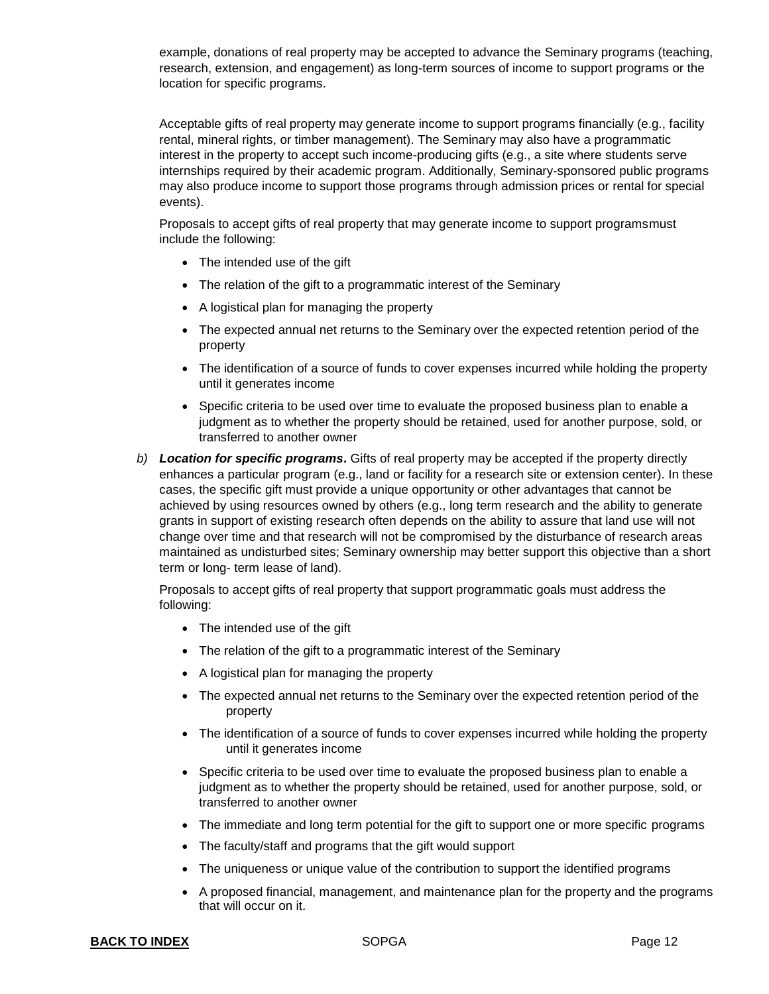example, donations of real property may be accepted to advance the Seminary programs (teaching, research, extension, and engagement) as long-term sources of income to support programs or the location for specific programs.

Acceptable gifts of real property may generate income to support programs financially (e.g., facility rental, mineral rights, or timber management). The Seminary may also have a programmatic interest in the property to accept such income-producing gifts (e.g., a site where students serve internships required by their academic program. Additionally, Seminary-sponsored public programs may also produce income to support those programs through admission prices or rental for special events).

Proposals to accept gifts of real property that may generate income to support programsmust include the following:

- The intended use of the gift
- The relation of the gift to a programmatic interest of the Seminary
- A logistical plan for managing the property
- The expected annual net returns to the Seminary over the expected retention period of the property
- The identification of a source of funds to cover expenses incurred while holding the property until it generates income
- Specific criteria to be used over time to evaluate the proposed business plan to enable a judgment as to whether the property should be retained, used for another purpose, sold, or transferred to another owner
- *b) Location for specific programs***.** Gifts of real property may be accepted if the property directly enhances a particular program (e.g., land or facility for a research site or extension center). In these cases, the specific gift must provide a unique opportunity or other advantages that cannot be achieved by using resources owned by others (e.g., long term research and the ability to generate grants in support of existing research often depends on the ability to assure that land use will not change over time and that research will not be compromised by the disturbance of research areas maintained as undisturbed sites; Seminary ownership may better support this objective than a short term or long- term lease of land).

Proposals to accept gifts of real property that support programmatic goals must address the following:

- The intended use of the gift
- The relation of the gift to a programmatic interest of the Seminary
- A logistical plan for managing the property
- The expected annual net returns to the Seminary over the expected retention period of the property
- The identification of a source of funds to cover expenses incurred while holding the property until it generates income
- Specific criteria to be used over time to evaluate the proposed business plan to enable a judgment as to whether the property should be retained, used for another purpose, sold, or transferred to another owner
- The immediate and long term potential for the gift to support one or more specific programs
- The faculty/staff and programs that the gift would support
- The uniqueness or unique value of the contribution to support the identified programs
- A proposed financial, management, and maintenance plan for the property and the programs that will occur on it.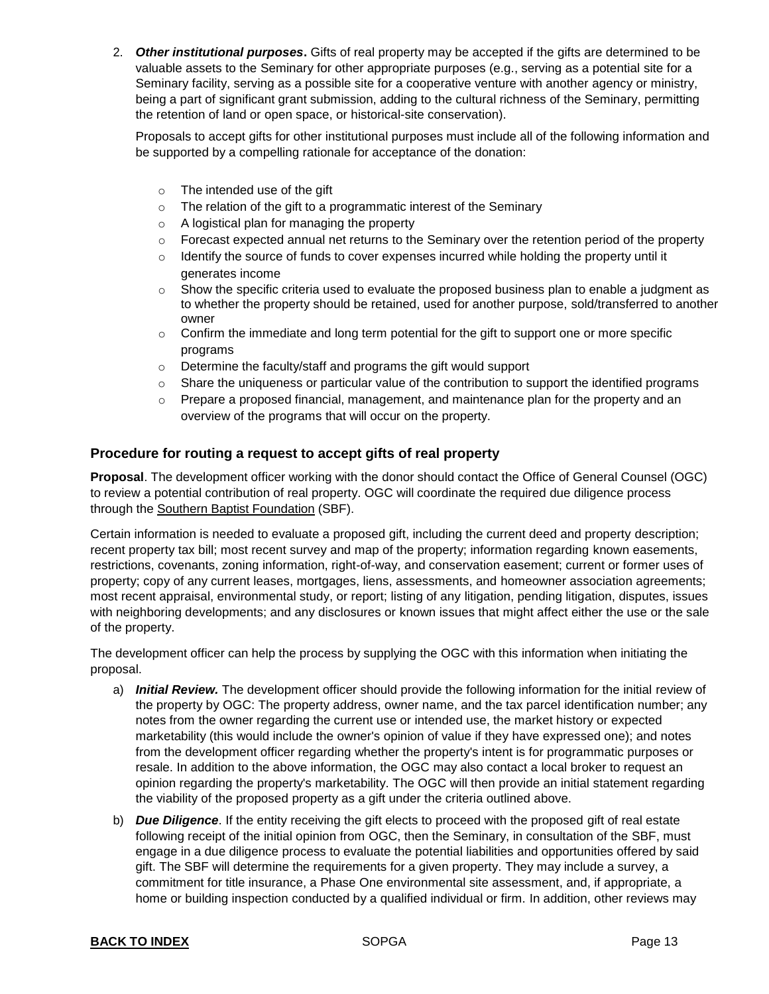2. *Other institutional purposes***.** Gifts of real property may be accepted if the gifts are determined to be valuable assets to the Seminary for other appropriate purposes (e.g., serving as a potential site for a Seminary facility, serving as a possible site for a cooperative venture with another agency or ministry, being a part of significant grant submission, adding to the cultural richness of the Seminary, permitting the retention of land or open space, or historical-site conservation).

Proposals to accept gifts for other institutional purposes must include all of the following information and be supported by a compelling rationale for acceptance of the donation:

- o The intended use of the gift
- o The relation of the gift to a programmatic interest of the Seminary
- o A logistical plan for managing the property
- $\circ$  Forecast expected annual net returns to the Seminary over the retention period of the property
- $\circ$  Identify the source of funds to cover expenses incurred while holding the property until it generates income
- $\circ$  Show the specific criteria used to evaluate the proposed business plan to enable a judgment as to whether the property should be retained, used for another purpose, sold/transferred to another owner
- $\circ$  Confirm the immediate and long term potential for the gift to support one or more specific programs
- o Determine the faculty/staff and programs the gift would support
- $\circ$  Share the uniqueness or particular value of the contribution to support the identified programs
- o Prepare a proposed financial, management, and maintenance plan for the property and an overview of the programs that will occur on the property.

#### **Procedure for routing a request to accept gifts of real property**

**Proposal**. The development officer working with the donor should contact the Office of General Counsel (OGC) to review a potential contribution of real property. OGC will coordinate the required due diligence process through the [Southern Baptist Foundation](https://www.sbfdn.org/) (SBF).

Certain information is needed to evaluate a proposed gift, including the current deed and property description; recent property tax bill; most recent survey and map of the property; information regarding known easements, restrictions, covenants, zoning information, right-of-way, and conservation easement; current or former uses of property; copy of any current leases, mortgages, liens, assessments, and homeowner association agreements; most recent appraisal, environmental study, or report; listing of any litigation, pending litigation, disputes, issues with neighboring developments; and any disclosures or known issues that might affect either the use or the sale of the property.

The development officer can help the process by supplying the OGC with this information when initiating the proposal.

- a) *Initial Review.* The development officer should provide the following information for the initial review of the property by OGC: The property address, owner name, and the tax parcel identification number; any notes from the owner regarding the current use or intended use, the market history or expected marketability (this would include the owner's opinion of value if they have expressed one); and notes from the development officer regarding whether the property's intent is for programmatic purposes or resale. In addition to the above information, the OGC may also contact a local broker to request an opinion regarding the property's marketability. The OGC will then provide an initial statement regarding the viability of the proposed property as a gift under the criteria outlined above.
- b) *Due Diligence*. If the entity receiving the gift elects to proceed with the proposed gift of real estate following receipt of the initial opinion from OGC, then the Seminary, in consultation of the SBF, must engage in a due diligence process to evaluate the potential liabilities and opportunities offered by said gift. The SBF will determine the requirements for a given property. They may include a survey, a commitment for title insurance, a Phase One environmental site assessment, and, if appropriate, a home or building inspection conducted by a qualified individual or firm. In addition, other reviews may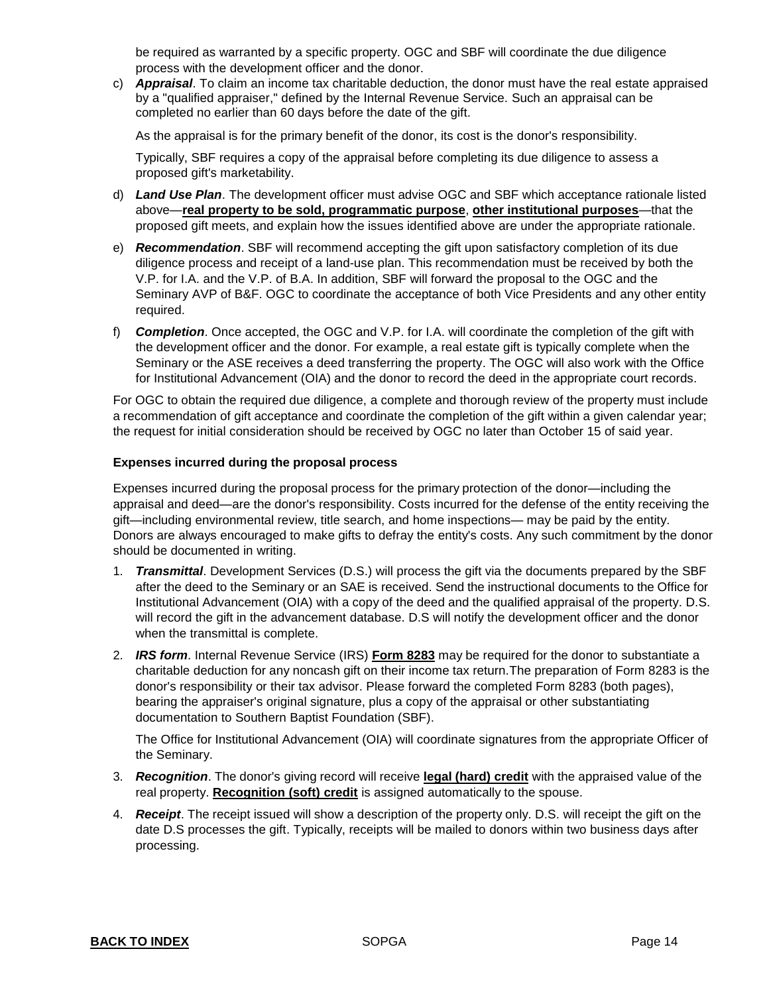be required as warranted by a specific property. OGC and SBF will coordinate the due diligence process with the development officer and the donor.

c) *Appraisal*. To claim an income tax charitable deduction, the donor must have the real estate appraised by a "qualified appraiser," defined by the Internal Revenue Service. Such an appraisal can be completed no earlier than 60 days before the date of the gift.

As the appraisal is for the primary benefit of the donor, its cost is the donor's responsibility.

Typically, SBF requires a copy of the appraisal before completing its due diligence to assess a proposed gift's marketability.

- d) *Land Use Plan*. The development officer must advise OGC and SBF which acceptance rationale listed above—**real property to be sold, programmatic purpose**, **other institutional purposes**—that the proposed gift meets, and explain how the issues identified above are under the appropriate rationale.
- e) *Recommendation*. SBF will recommend accepting the gift upon satisfactory completion of its due diligence process and receipt of a land-use plan. This recommendation must be received by both the V.P. for I.A. and the V.P. of B.A. In addition, SBF will forward the proposal to the OGC and the Seminary AVP of B&F. OGC to coordinate the acceptance of both Vice Presidents and any other entity required.
- f) *Completion*. Once accepted, the OGC and V.P. for I.A. will coordinate the completion of the gift with the development officer and the donor. For example, a real estate gift is typically complete when the Seminary or the ASE receives a deed transferring the property. The OGC will also work with the Office for Institutional Advancement (OIA) and the donor to record the deed in the appropriate court records.

For OGC to obtain the required due diligence, a complete and thorough review of the property must include a recommendation of gift acceptance and coordinate the completion of the gift within a given calendar year; the request for initial consideration should be received by OGC no later than October 15 of said year.

#### **Expenses incurred during the proposal process**

Expenses incurred during the proposal process for the primary protection of the donor—including the appraisal and deed—are the donor's responsibility. Costs incurred for the defense of the entity receiving the gift—including environmental review, title search, and home inspections— may be paid by the entity. Donors are always encouraged to make gifts to defray the entity's costs. Any such commitment by the donor should be documented in writing.

- 1. *Transmittal*. Development Services (D.S.) will process the gift via the documents prepared by the SBF after the deed to the Seminary or an SAE is received. Send the instructional documents to the Office for Institutional Advancement (OIA) with a copy of the deed and the qualified appraisal of the property. D.S. will record the gift in the advancement database. D.S will notify the development officer and the donor when the transmittal is complete.
- 2. *IRS form*. Internal Revenue Service (IRS) **[Form 8283](https://www.irs.gov/forms-pubs/about-form-8283)** may be required for the donor to substantiate a charitable deduction for any noncash gift on their income tax return.The preparation of Form 8283 is the donor's responsibility or their tax advisor. Please forward the completed Form 8283 (both pages), bearing the appraiser's original signature, plus a copy of the appraisal or other substantiating documentation to Southern Baptist Foundation (SBF).

The Office for Institutional Advancement (OIA) will coordinate signatures from the appropriate Officer of the Seminary.

- 3. *Recognition*. The donor's giving record will receive **legal [\(hard\)](#page-21-3) credit** with the appraised value of the real property. **[Recognition \(soft\)](#page-21-4) credit** is assigned automatically to the spouse.
- <span id="page-13-0"></span>4. *Receipt*. The receipt issued will show a description of the property only. D.S. will receipt the gift on the date D.S processes the gift. Typically, receipts will be mailed to donors within two business days after processing.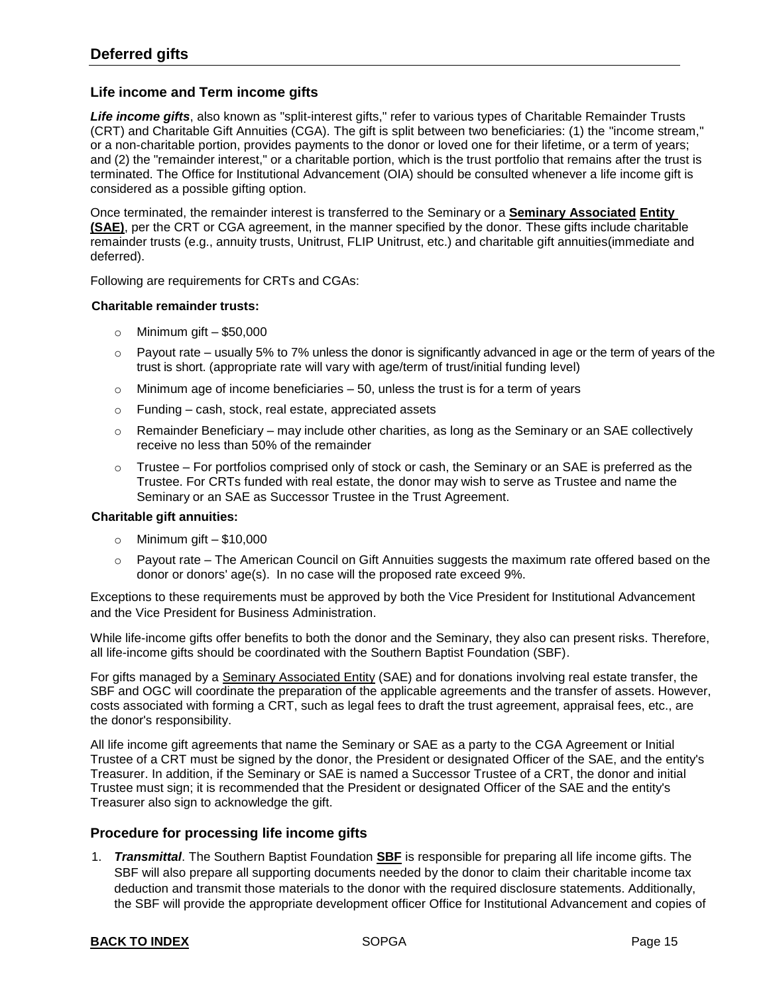#### **Life income and Term income gifts**

*Life income gifts*, also known as "split-interest gifts," refer to various types of Charitable Remainder Trusts (CRT) and Charitable Gift Annuities (CGA). The gift is split between two beneficiaries: (1) the "income stream," or a non-charitable portion, provides payments to the donor or loved one for their lifetime, or a term of years; and (2) the "remainder interest," or a charitable portion, which is the trust portfolio that remains after the trust is terminated. The Office for Institutional Advancement (OIA) should be consulted whenever a life income gift is considered as a possible gifting option.

Once terminated, the remainder interest is transferred to the Seminary or a **Seminary [Associated](#page-21-0) [Entity](#page-21-0) [\(SAE\)](#page-21-0)**, per the CRT or CGA agreement, in the manner specified by the donor. These gifts include charitable remainder trusts (e.g., annuity trusts, Unitrust, FLIP Unitrust, etc.) and charitable gift annuities(immediate and deferred).

Following are requirements for CRTs and CGAs:

#### **Charitable remainder trusts:**

- $\circ$  Minimum gift \$50,000
- $\circ$  Payout rate usually 5% to 7% unless the donor is significantly advanced in age or the term of years of the trust is short. (appropriate rate will vary with age/term of trust/initial funding level)
- $\circ$  Minimum age of income beneficiaries  $-50$ , unless the trust is for a term of years
- o Funding cash, stock, real estate, appreciated assets
- $\circ$  Remainder Beneficiary may include other charities, as long as the Seminary or an SAE collectively receive no less than 50% of the remainder
- $\circ$  Trustee For portfolios comprised only of stock or cash, the Seminary or an SAE is preferred as the Trustee. For CRTs funded with real estate, the donor may wish to serve as Trustee and name the Seminary or an SAE as Successor Trustee in the Trust Agreement.

#### **Charitable gift annuities:**

- $\circ$  Minimum gift \$10,000
- Payout rate The American Council on Gift Annuities suggests the maximum rate offered based on the donor or donors' age(s). In no case will the proposed rate exceed 9%.

Exceptions to these requirements must be approved by both the Vice President for Institutional Advancement and the Vice President for Business Administration.

While life-income gifts offer benefits to both the donor and the Seminary, they also can present risks. Therefore, all life-income gifts should be coordinated with the Southern Baptist Foundation (SBF).

For gifts managed by a Seminary [Associated Entity](#page-20-0) (SAE) and for donations involving real estate transfer, the SBF and OGC will coordinate the preparation of the applicable agreements and the transfer of assets. However, costs associated with forming a CRT, such as legal fees to draft the trust agreement, appraisal fees, etc., are the donor's responsibility.

All life income gift agreements that name the Seminary or SAE as a party to the CGA Agreement or Initial Trustee of a CRT must be signed by the donor, the President or designated Officer of the SAE, and the entity's Treasurer. In addition, if the Seminary or SAE is named a Successor Trustee of a CRT, the donor and initial Trustee must sign; it is recommended that the President or designated Officer of the SAE and the entity's Treasurer also sign to acknowledge the gift.

#### **Procedure for processing life income gifts**

1. *Transmittal*. The Southern Baptist Foundation **[SBF](https://www.sbfdn.org/)** is responsible for preparing all life income gifts. The SBF will also prepare all supporting documents needed by the donor to claim their charitable income tax deduction and transmit those materials to the donor with the required disclosure statements. Additionally, the SBF will provide the appropriate development officer Office for Institutional Advancement and copies of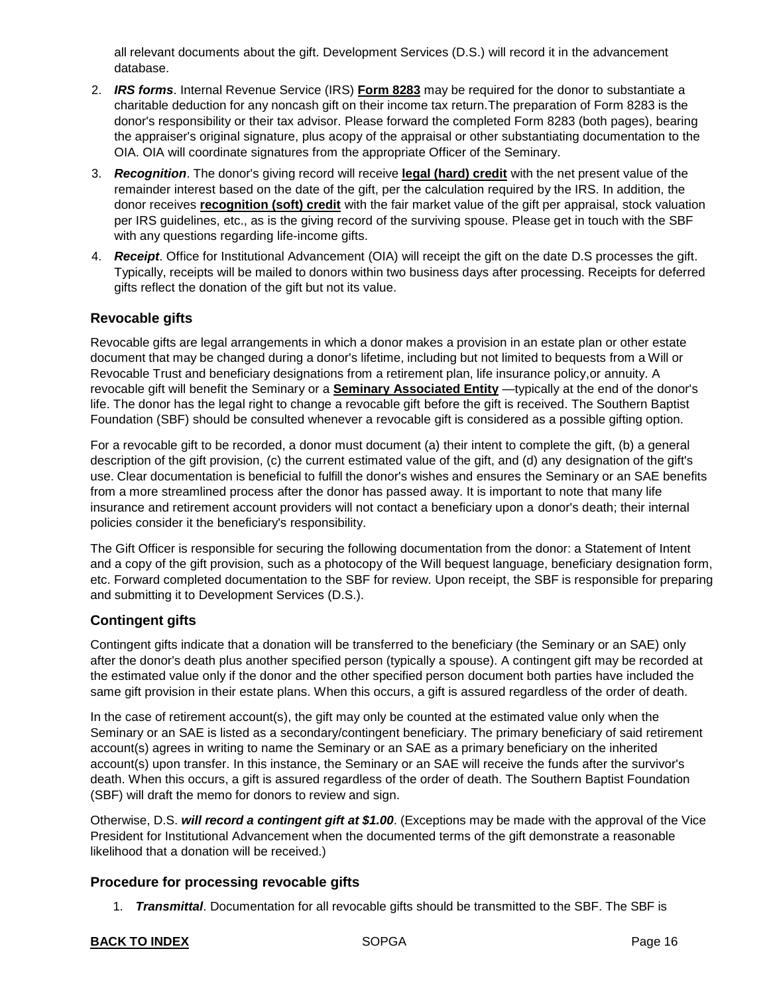all relevant documents about the gift. Development Services (D.S.) will record it in the advancement database.

- 2. *IRS forms*. Internal Revenue Service (IRS) **[Form 8283](https://www.irs.gov/forms-pubs/about-form-8283)** may be required for the donor to substantiate a charitable deduction for any noncash gift on their income tax return.The preparation of Form 8283 is the donor's responsibility or their tax advisor. Please forward the completed Form 8283 (both pages), bearing the appraiser's original signature, plus acopy of the appraisal or other substantiating documentation to the OIA. OIA will coordinate signatures from the appropriate Officer of the Seminary.
- 3. *Recognition*. The donor's giving record will receive **legal [\(hard\)](#page-21-3) credit** with the net present value of the remainder interest based on the date of the gift, per the calculation required by the IRS. In addition, the donor receives **[recognition \(soft\) credit](#page-21-4)** with the fair market value of the gift per appraisal, stock valuation per IRS guidelines, etc., as is the giving record of the surviving spouse. Please get in touch with the SBF with any questions regarding life-income gifts.
- 4. *Receipt*. Office for Institutional Advancement (OIA) will receipt the gift on the date D.S processes the gift. Typically, receipts will be mailed to donors within two business days after processing. Receipts for deferred gifts reflect the donation of the gift but not its value.

# **Revocable gifts**

Revocable gifts are legal arrangements in which a donor makes a provision in an estate plan or other estate document that may be changed during a donor's lifetime, including but not limited to bequests from a Will or Revocable Trust and beneficiary designations from a retirement plan, life insurance policy,or annuity. A revocable gift will benefit the Seminary or a **Seminary [Associated Entity](#page-21-0)** —typically at the end of the donor's life. The donor has the legal right to change a revocable gift before the gift is received. The Southern Baptist Foundation (SBF) should be consulted whenever a revocable gift is considered as a possible gifting option.

For a revocable gift to be recorded, a donor must document (a) their intent to complete the gift, (b) a general description of the gift provision, (c) the current estimated value of the gift, and (d) any designation of the gift's use. Clear documentation is beneficial to fulfill the donor's wishes and ensures the Seminary or an SAE benefits from a more streamlined process after the donor has passed away. It is important to note that many life insurance and retirement account providers will not contact a beneficiary upon a donor's death; their internal policies consider it the beneficiary's responsibility.

The Gift Officer is responsible for securing the following documentation from the donor: a Statement of Intent and a copy of the gift provision, such as a photocopy of the Will bequest language, beneficiary designation form, etc. Forward completed documentation to the SBF for review. Upon receipt, the SBF is responsible for preparing and submitting it to Development Services (D.S.).

# **Contingent gifts**

Contingent gifts indicate that a donation will be transferred to the beneficiary (the Seminary or an SAE) only after the donor's death plus another specified person (typically a spouse). A contingent gift may be recorded at the estimated value only if the donor and the other specified person document both parties have included the same gift provision in their estate plans. When this occurs, a gift is assured regardless of the order of death.

In the case of retirement account(s), the gift may only be counted at the estimated value only when the Seminary or an SAE is listed as a secondary/contingent beneficiary. The primary beneficiary of said retirement account(s) agrees in writing to name the Seminary or an SAE as a primary beneficiary on the inherited account(s) upon transfer. In this instance, the Seminary or an SAE will receive the funds after the survivor's death. When this occurs, a gift is assured regardless of the order of death. The Southern Baptist Foundation (SBF) will draft the memo for donors to review and sign.

Otherwise, D.S. *will record a contingent gift at \$1.00*. (Exceptions may be made with the approval of the Vice President for Institutional Advancement when the documented terms of the gift demonstrate a reasonable likelihood that a donation will be received.)

# **Procedure for processing revocable gifts**

1. *Transmittal*. Documentation for all revocable gifts should be transmitted to the SBF. The SBF is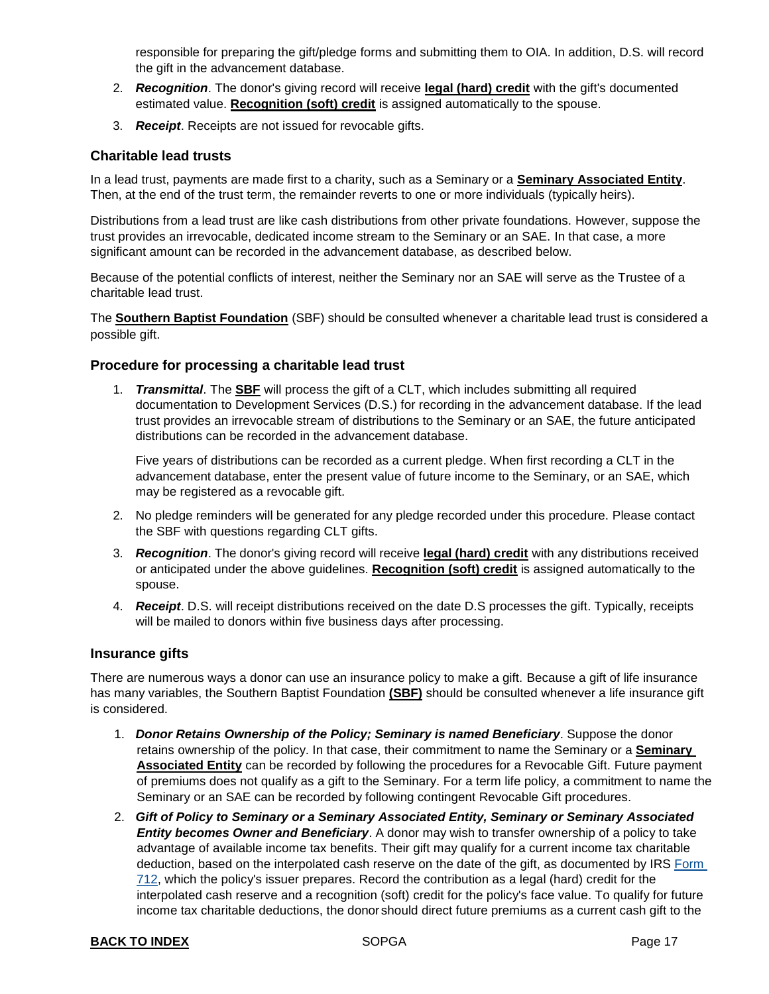responsible for preparing the gift/pledge forms and submitting them to OIA. In addition, D.S. will record the gift in the advancement database.

- 2. *Recognition*. The donor's giving record will receive **[legal \(hard\) credit](#page-21-3)** with the gift's documented estimated value. **[Recognition \(soft\) credit](#page-21-4)** is assigned automatically to the spouse.
- 3. *Receipt*. Receipts are not issued for revocable gifts.

# **Charitable lead trusts**

In a lead trust, payments are made first to a charity, such as a Seminary or a **Seminary [Associated Entity](#page-21-0)**. Then, at the end of the trust term, the remainder reverts to one or more individuals (typically heirs).

Distributions from a lead trust are like cash distributions from other private foundations. However, suppose the trust provides an irrevocable, dedicated income stream to the Seminary or an SAE. In that case, a more significant amount can be recorded in the advancement database, as described below.

Because of the potential conflicts of interest, neither the Seminary nor an SAE will serve as the Trustee of a charitable lead trust.

The **[Southern Baptist Foundation](https://www.sbfdn.org/)** (SBF) should be consulted whenever a charitable lead trust is considered a possible gift.

# **Procedure for processing a charitable lead trust**

1. *Transmittal*. The **[SBF](https://www.sbfdn.org/)** will process the gift of a CLT, which includes submitting all required documentation to Development Services (D.S.) for recording in the advancement database. If the lead trust provides an irrevocable stream of distributions to the Seminary or an SAE, the future anticipated distributions can be recorded in the advancement database.

Five years of distributions can be recorded as a current pledge. When first recording a CLT in the advancement database, enter the present value of future income to the Seminary, or an SAE, which may be registered as a revocable gift.

- 2. No pledge reminders will be generated for any pledge recorded under this procedure. Please contact the SBF with questions regarding CLT gifts.
- 3. *Recognition*. The donor's giving record will receive **legal [\(hard\)](#page-21-3) credit** with any distributions received or anticipated under the above guidelines. **[Recognition \(soft\) credit](#page-21-4)** is assigned automatically to the spouse.
- 4. *Receipt*. D.S. will receipt distributions received on the date D.S processes the gift. Typically, receipts will be mailed to donors within five business days after processing.

#### **Insurance gifts**

There are numerous ways a donor can use an insurance policy to make a gift. Because a gift of life insurance has many variables, the Southern Baptist Foundation **[\(SBF\)](https://www.sbfdn.org/)** should be consulted whenever a life insurance gift is considered.

- 1. *Donor Retains Ownership of the Policy; Seminary is named Beneficiary*. Suppose the donor retains ownership of the policy. In that case, their commitment to name the Seminary or a **[Seminary](#page-21-0)  [Associated Entity](#page-21-0)** can be recorded by following the procedures for a Revocable Gift. Future payment of premiums does not qualify as a gift to the Seminary. For a term life policy, a commitment to name the Seminary or an SAE can be recorded by following contingent Revocable Gift procedures.
- 2. *Gift of Policy to Seminary or a Seminary Associated Entity, Seminary or Seminary Associated Entity becomes Owner and Beneficiary*. A donor may wish to transfer ownership of a policy to take advantage of available income tax benefits. Their gift may qualify for a current income tax charitable deduction, based on the interpolated cash reserve on the date of the gift, as documented by IRS [Form](https://www.irs.gov/pub/irs-pdf/f712.pdf)  [712,](https://www.irs.gov/pub/irs-pdf/f712.pdf) which the policy's issuer prepares. Record the contribution as a legal (hard) credit for the interpolated cash reserve and a recognition (soft) credit for the policy's face value. To qualify for future income tax charitable deductions, the donor should direct future premiums as a current cash gift to the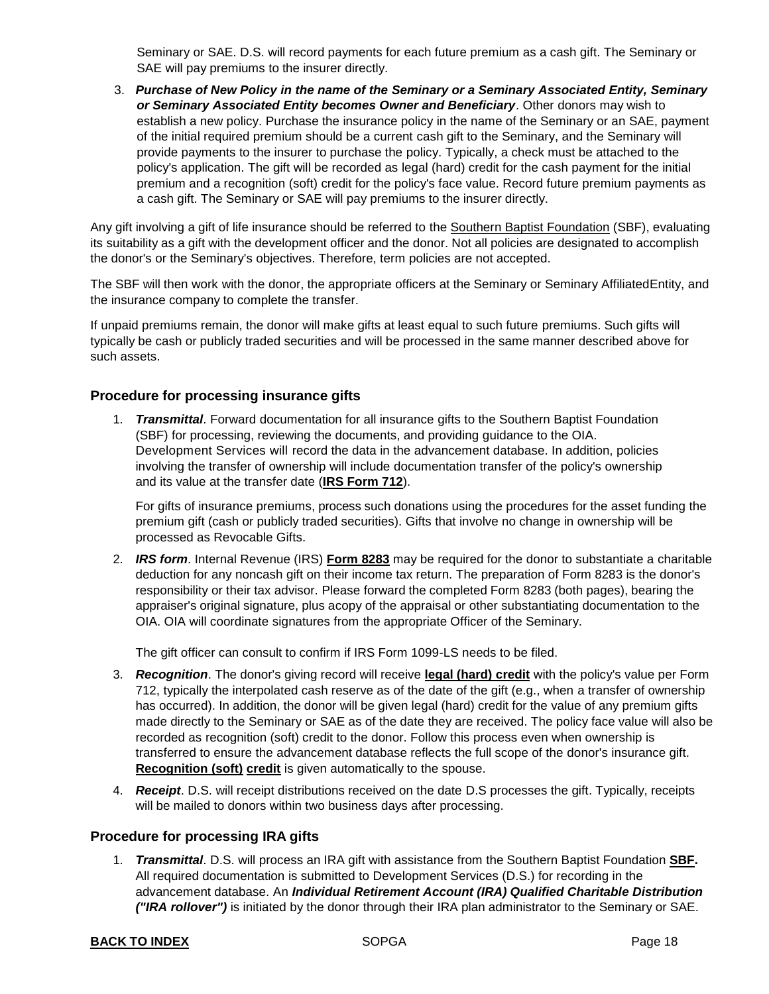Seminary or SAE. D.S. will record payments for each future premium as a cash gift. The Seminary or SAE will pay premiums to the insurer directly.

3. *Purchase of New Policy in the name of the Seminary or a Seminary Associated Entity, Seminary or Seminary Associated Entity becomes Owner and Beneficiary*. Other donors may wish to establish a new policy. Purchase the insurance policy in the name of the Seminary or an SAE, payment of the initial required premium should be a current cash gift to the Seminary, and the Seminary will provide payments to the insurer to purchase the policy. Typically, a check must be attached to the policy's application. The gift will be recorded as legal (hard) credit for the cash payment for the initial premium and a recognition (soft) credit for the policy's face value. Record future premium payments as a cash gift. The Seminary or SAE will pay premiums to the insurer directly.

Any gift involving a gift of life insurance should be referred to the [Southern Baptist Foundation](https://www.sbfdn.org/) (SBF), evaluating its suitability as a gift with the development officer and the donor. Not all policies are designated to accomplish the donor's or the Seminary's objectives. Therefore, term policies are not accepted.

The SBF will then work with the donor, the appropriate officers at the Seminary or Seminary AffiliatedEntity, and the insurance company to complete the transfer.

If unpaid premiums remain, the donor will make gifts at least equal to such future premiums. Such gifts will typically be cash or publicly traded securities and will be processed in the same manner described above for such assets.

### **Procedure for processing insurance gifts**

1. *Transmittal*. Forward documentation for all insurance gifts to the Southern Baptist Foundation (SBF) for processing, reviewing the documents, and providing guidance to the OIA. Development Services will record the data in the advancement database. In addition, policies involving the transfer of ownership will include documentation transfer of the policy's ownership and its value at the transfer date (**[IRS Form 712](https://www.irs.gov/forms-pubs/about-form-712)**).

For gifts of insurance premiums, process such donations using the procedures for the asset funding the premium gift (cash or publicly traded securities). Gifts that involve no change in ownership will be processed as Revocable Gifts.

2. *IRS form*. Internal Revenue (IRS) **[Form 8283](https://www.irs.gov/forms-pubs/about-form-8283)** may be required for the donor to substantiate a charitable deduction for any noncash gift on their income tax return. The preparation of Form 8283 is the donor's responsibility or their tax advisor. Please forward the completed Form 8283 (both pages), bearing the appraiser's original signature, plus acopy of the appraisal or other substantiating documentation to the OIA. OIA will coordinate signatures from the appropriate Officer of the Seminary.

The gift officer can consult to confirm if IRS Form 1099-LS needs to be filed.

- 3. *Recognition*. The donor's giving record will receive **[legal \(hard\) credit](#page-21-3)** with the policy's value per Form 712, typically the interpolated cash reserve as of the date of the gift (e.g., when a transfer of ownership has occurred). In addition, the donor will be given legal (hard) credit for the value of any premium gifts made directly to the Seminary or SAE as of the date they are received. The policy face value will also be recorded as recognition (soft) credit to the donor. Follow this process even when ownership is transferred to ensure the advancement database reflects the full scope of the donor's insurance gift. **[Recognition \(soft\)](#page-21-4) [credit](#page-21-4)** is given automatically to the spouse.
- 4. *Receipt*. D.S. will receipt distributions received on the date D.S processes the gift. Typically, receipts will be mailed to donors within two business days after processing.

#### **Procedure for processing IRA gifts**

1. *Transmittal*. D.S. will process an IRA gift with assistance from the Southern Baptist Foundation **[SBF.](https://www.sbfdn.org/)** All required documentation is submitted to Development Services (D.S.) for recording in the advancement database. An *Individual Retirement Account (IRA) Qualified Charitable Distribution ("IRA rollover")* is initiated by the donor through their IRA plan administrator to the Seminary or SAE.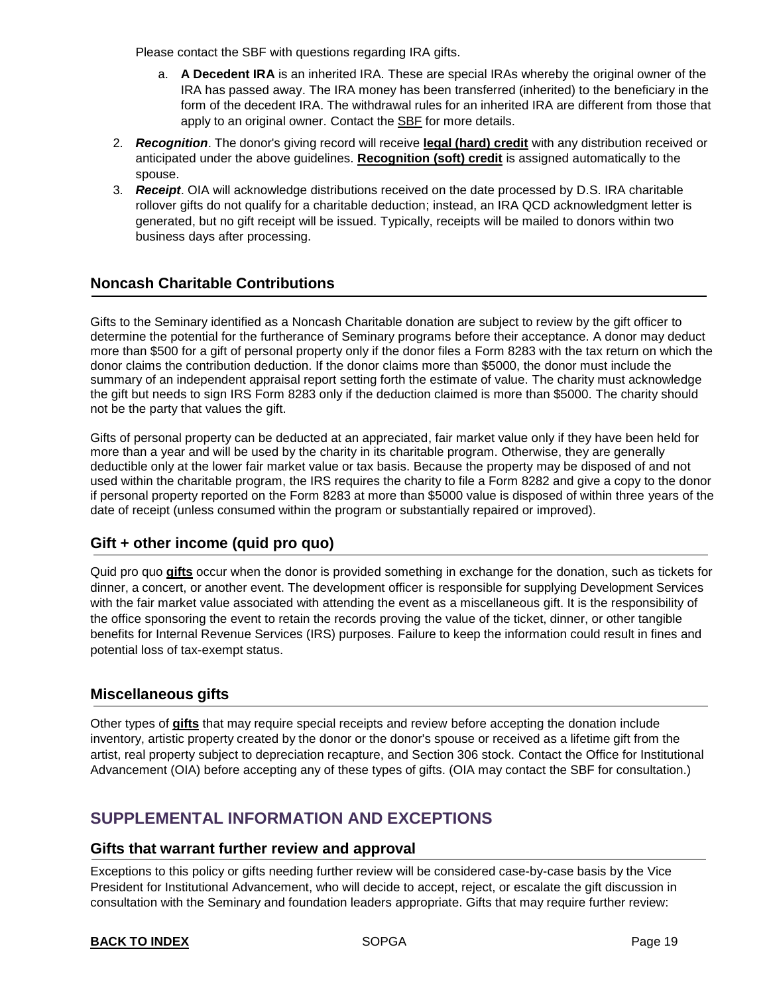Please contact the SBF with questions regarding IRA gifts.

- a. **A Decedent IRA** is an inherited IRA. These are special IRAs whereby the original owner of the IRA has passed away. The IRA money has been transferred (inherited) to the beneficiary in the form of the decedent IRA. The withdrawal rules for an inherited IRA are different from those that apply to an original owner. Contact th[e SBF](https://www.sbfdn.org/) for more details.
- 2. *Recognition*. The donor's giving record will receive **legal [\(hard\)](#page-21-3) credit** with any distribution received or anticipated under the above guidelines. **[Recognition \(soft\) credit](#page-21-4)** is assigned automatically to the spouse.
- 3. *Receipt*. OIA will acknowledge distributions received on the date processed by D.S. IRA charitable rollover gifts do not qualify for a charitable deduction; instead, an IRA QCD acknowledgment letter is generated, but no gift receipt will be issued. Typically, receipts will be mailed to donors within two business days after processing.

# <span id="page-18-0"></span>**Noncash Charitable Contributions**

Gifts to the Seminary identified as a Noncash Charitable donation are subject to review by the gift officer to determine the potential for the furtherance of Seminary programs before their acceptance. A donor may deduct more than \$500 for a gift of personal property only if the donor files a Form 8283 with the tax return on which the donor claims the contribution deduction. If the donor claims more than \$5000, the donor must include the summary of an independent appraisal report setting forth the estimate of value. The charity must acknowledge the gift but needs to sign IRS Form 8283 only if the deduction claimed is more than \$5000. The charity should not be the party that values the gift.

Gifts of personal property can be deducted at an appreciated, fair market value only if they have been held for more than a year and will be used by the charity in its charitable program. Otherwise, they are generally deductible only at the lower fair market value or tax basis. Because the property may be disposed of and not used within the charitable program, the IRS requires the charity to file a Form 8282 and give a copy to the donor if personal property reported on the Form 8283 at more than \$5000 value is disposed of within three years of the date of receipt (unless consumed within the program or substantially repaired or improved).

# **Gift + other income (quid pro quo)**

Quid pro quo **[gifts](#page-21-2)** occur when the donor is provided something in exchange for the donation, such as tickets for dinner, a concert, or another event. The development officer is responsible for supplying Development Services with the fair market value associated with attending the event as a miscellaneous gift. It is the responsibility of the office sponsoring the event to retain the records proving the value of the ticket, dinner, or other tangible benefits for Internal Revenue Services (IRS) purposes. Failure to keep the information could result in fines and potential loss of tax-exempt status.

# <span id="page-18-1"></span>**Miscellaneous gifts**

Other types of **[gifts](#page-21-2)** that may require special receipts and review before accepting the donation include inventory, artistic property created by the donor or the donor's spouse or received as a lifetime gift from the artist, real property subject to depreciation recapture, and Section 306 stock. Contact the Office for Institutional Advancement (OIA) before accepting any of these types of gifts. (OIA may contact the SBF for consultation.)

# <span id="page-18-2"></span>**SUPPLEMENTAL INFORMATION AND EXCEPTIONS**

#### <span id="page-18-3"></span>**Gifts that warrant further review and approval**

Exceptions to this policy or gifts needing further review will be considered case-by-case basis by the Vice President for Institutional Advancement, who will decide to accept, reject, or escalate the gift discussion in consultation with the Seminary and foundation leaders appropriate. Gifts that may require further review: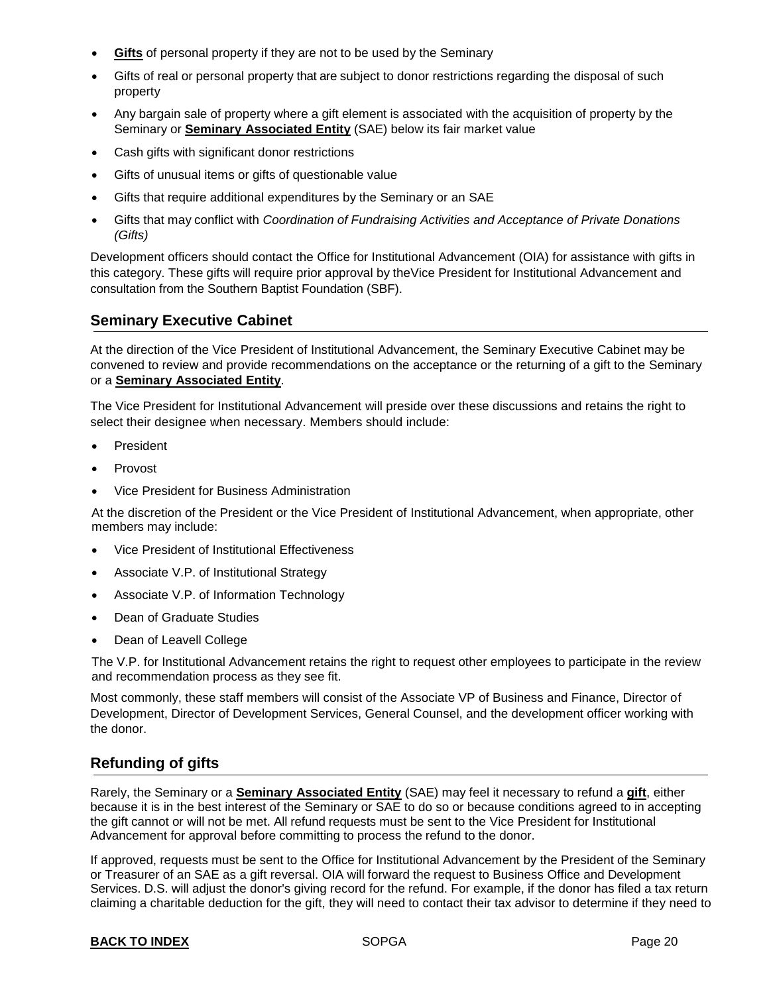- <span id="page-19-1"></span>**[Gifts](#page-21-2)** of personal property if they are not to be used by the Seminary
- Gifts of real or personal property that are subject to donor restrictions regarding the disposal of such property
- Any bargain sale of property where a gift element is associated with the acquisition of property by the Seminary or **Seminary [Associated](#page-21-0) Entity** (SAE) below its fair market value
- Cash gifts with significant donor restrictions
- Gifts of unusual items or gifts of questionable value
- Gifts that require additional expenditures by the Seminary or an SAE
- Gifts that may conflict with *Coordination of Fundraising Activities and Acceptance of Private Donations (Gifts)*

Development officers should contact the Office for Institutional Advancement (OIA) for assistance with gifts in this category. These gifts will require prior approval by theVice President for Institutional Advancement and consultation from the Southern Baptist Foundation (SBF).

# <span id="page-19-0"></span>**Seminary Executive Cabinet**

At the direction of the Vice President of Institutional Advancement, the Seminary Executive Cabinet may be convened to review and provide recommendations on the acceptance or the returning of a gift to the Seminary or a **Seminary [Associated Entity](#page-21-0)**.

The Vice President for Institutional Advancement will preside over these discussions and retains the right to select their designee when necessary. Members should include:

- President
- Provost
- Vice President for Business Administration

At the discretion of the President or the Vice President of Institutional Advancement, when appropriate, other members may include:

- Vice President of Institutional Effectiveness
- Associate V.P. of Institutional Strategy
- Associate V.P. of Information Technology
- Dean of Graduate Studies
- Dean of Leavell College

The V.P. for Institutional Advancement retains the right to request other employees to participate in the review and recommendation process as they see fit.

Most commonly, these staff members will consist of the Associate VP of Business and Finance, Director of Development, Director of Development Services, General Counsel, and the development officer working with the donor.

# **Refunding of gifts**

Rarely, the Seminary or a **Seminary [Associated Entity](#page-21-0)** (SAE) may feel it necessary to refund a **[gift](#page-21-2)**, either because it is in the best interest of the Seminary or SAE to do so or because conditions agreed to in accepting the gift cannot or will not be met. All refund requests must be sent to the Vice President for Institutional Advancement for approval before committing to process the refund to the donor.

If approved, requests must be sent to the Office for Institutional Advancement by the President of the Seminary or Treasurer of an SAE as a gift reversal. OIA will forward the request to Business Office and Development Services. D.S. will adjust the donor's giving record for the refund. For example, if the donor has filed a tax return claiming a charitable deduction for the gift, they will need to contact their tax advisor to determine if they need to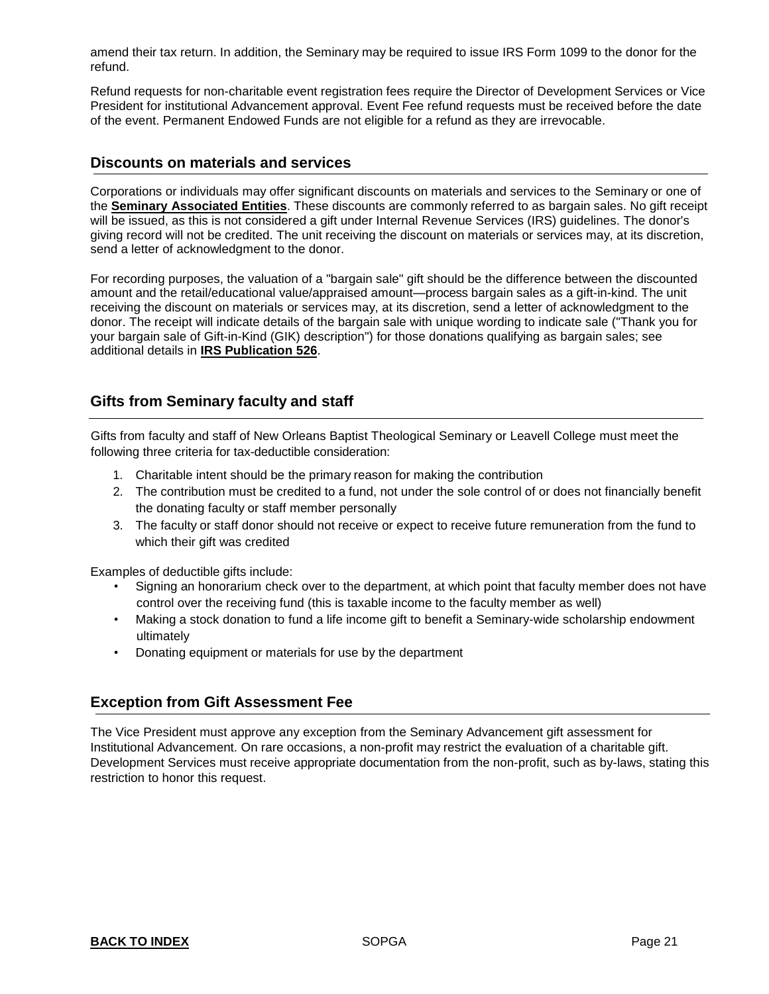amend their tax return. In addition, the Seminary may be required to issue IRS Form 1099 to the donor for the refund.

Refund requests for non-charitable event registration fees require the Director of Development Services or Vice President for institutional Advancement approval. Event Fee refund requests must be received before the date of the event. Permanent Endowed Funds are not eligible for a refund as they are irrevocable.

### <span id="page-20-3"></span>**Discounts on materials and services**

Corporations or individuals may offer significant discounts on materials and services to the Seminary or one of the **Seminary [Associated](#page-21-0) Entities**. These discounts are commonly referred to as bargain sales. No gift receipt will be issued, as this is not considered a gift under Internal Revenue Services (IRS) guidelines. The donor's giving record will not be credited. The unit receiving the discount on materials or services may, at its discretion, send a letter of acknowledgment to the donor.

For recording purposes, the valuation of a "bargain sale" gift should be the difference between the discounted amount and the retail/educational value/appraised amount—process bargain sales as a gift-in-kind. The unit receiving the discount on materials or services may, at its discretion, send a letter of acknowledgment to the donor. The receipt will indicate details of the bargain sale with unique wording to indicate sale ("Thank you for your bargain sale of Gift-in-Kind (GIK) description") for those donations qualifying as bargain sales; see additional details in **IRS [Publication](https://www.irs.gov/forms-pubs/about-publication-526) 526**.

# <span id="page-20-1"></span>**Gifts from Seminary faculty and staff**

Gifts from faculty and staff of New Orleans Baptist Theological Seminary or Leavell College must meet the following three criteria for tax-deductible consideration:

- 1. Charitable intent should be the primary reason for making the contribution
- 2. The contribution must be credited to a fund, not under the sole control of or does not financially benefit the donating faculty or staff member personally
- 3. The faculty or staff donor should not receive or expect to receive future remuneration from the fund to which their gift was credited

Examples of deductible gifts include:

- Signing an honorarium check over to the department, at which point that faculty member does not have control over the receiving fund (this is taxable income to the faculty member as well)
- Making a stock donation to fund a life income gift to benefit a Seminary-wide scholarship endowment ultimately
- Donating equipment or materials for use by the department

# <span id="page-20-2"></span>**Exception from Gift Assessment Fee**

<span id="page-20-0"></span>The Vice President must approve any exception from the Seminary Advancement gift assessment for Institutional Advancement. On rare occasions, a non-profit may restrict the evaluation of a charitable gift. Development Services must receive appropriate documentation from the non-profit, such as by-laws, stating this restriction to honor this request.